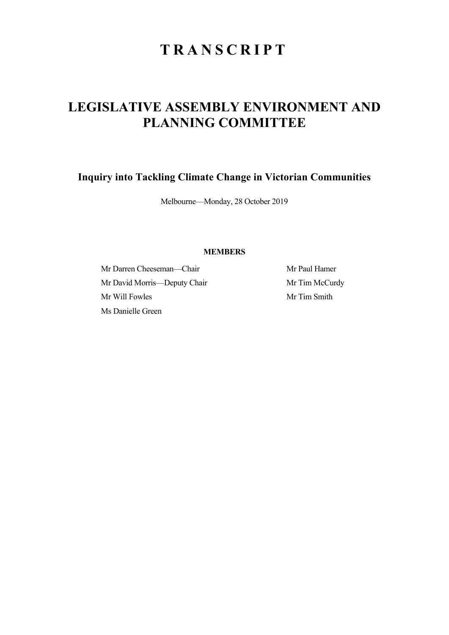# **TRANSCRIPT**

## **LEGISLATIVE ASSEMBLY ENVIRONMENT AND PLANNING COMMITTEE**

**Inquiry into Tackling Climate Change in Victorian Communities** 

Melbourne—Monday, 28 October 2019

## **MEMBERS**

Mr Darren Cheeseman—Chair Mr Paul Hamer Mr David Morris—Deputy Chair Mr Tim McCurdy Mr Will Fowles Mr Tim Smith Ms Danielle Green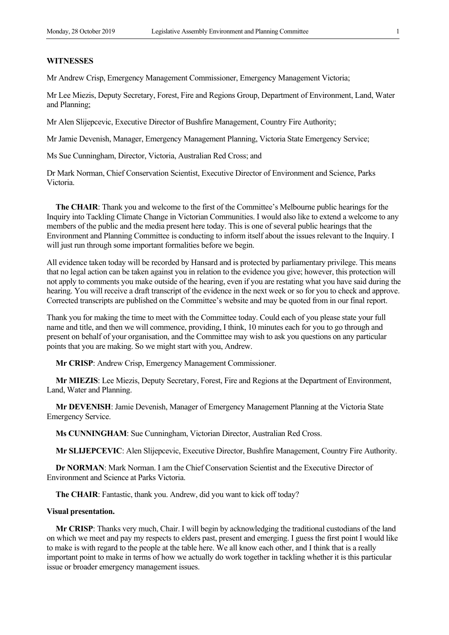#### **WITNESSES**

Mr Andrew Crisp, Emergency Management Commissioner, Emergency Management Victoria;

Mr Lee Miezis, Deputy Secretary, Forest, Fire and Regions Group, Department of Environment, Land, Water and Planning;

Mr Alen Slijepcevic, Executive Director of Bushfire Management, Country Fire Authority;

Mr Jamie Devenish, Manager, Emergency Management Planning, Victoria State Emergency Service;

Ms Sue Cunningham, Director, Victoria, Australian Red Cross; and

Dr Mark Norman, Chief Conservation Scientist, Executive Director of Environment and Science, Parks Victoria.

**The CHAIR**: Thank you and welcome to the first of the Committee's Melbourne public hearings for the Inquiry into Tackling Climate Change in Victorian Communities. I would also like to extend a welcome to any members of the public and the media present here today. This is one of several public hearings that the Environment and Planning Committee is conducting to inform itself about the issues relevant to the Inquiry. I will just run through some important formalities before we begin.

All evidence taken today will be recorded by Hansard and is protected by parliamentary privilege. This means that no legal action can be taken against you in relation to the evidence you give; however, this protection will not apply to comments you make outside of the hearing, even if you are restating what you have said during the hearing. You will receive a draft transcript of the evidence in the next week or so for you to check and approve. Corrected transcripts are published on the Committee's website and may be quoted from in our final report.

Thank you for making the time to meet with the Committee today. Could each of you please state your full name and title, and then we will commence, providing, I think, 10 minutes each for you to go through and present on behalf of your organisation, and the Committee may wish to ask you questions on any particular points that you are making. So we might start with you, Andrew.

**Mr CRISP**: Andrew Crisp, Emergency Management Commissioner.

**Mr MIEZIS**: Lee Miezis, Deputy Secretary, Forest, Fire and Regions at the Department of Environment, Land, Water and Planning.

**Mr DEVENISH**: Jamie Devenish, Manager of Emergency Management Planning at the Victoria State Emergency Service.

**Ms CUNNINGHAM**: Sue Cunningham, Victorian Director, Australian Red Cross.

**Mr SLIJEPCEVIC**: Alen Slijepcevic, Executive Director, Bushfire Management, Country Fire Authority.

**Dr NORMAN**: Mark Norman. I am the Chief Conservation Scientist and the Executive Director of Environment and Science at Parks Victoria.

**The CHAIR**: Fantastic, thank you. Andrew, did you want to kick off today?

#### **Visual presentation.**

**Mr CRISP**: Thanks very much, Chair. I will begin by acknowledging the traditional custodians of the land on which we meet and pay my respects to elders past, present and emerging. I guess the first point I would like to make is with regard to the people at the table here. We all know each other, and I think that is a really important point to make in terms of how we actually do work together in tackling whether it is this particular issue or broader emergency management issues.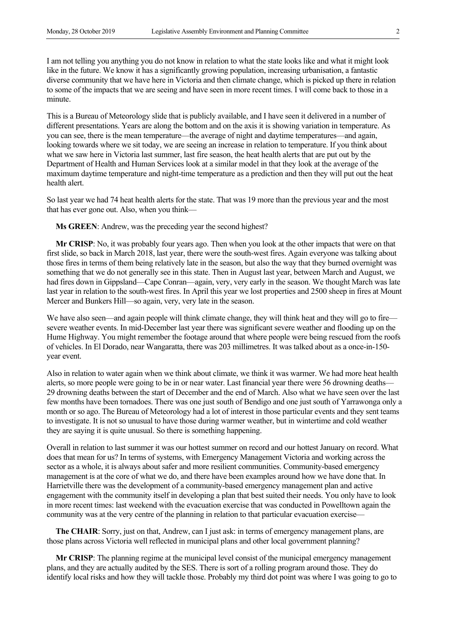I am not telling you anything you do not know in relation to what the state looks like and what it might look like in the future. We know it has a significantly growing population, increasing urbanisation, a fantastic diverse community that we have here in Victoria and then climate change, which is picked up there in relation to some of the impacts that we are seeing and have seen in more recent times. I will come back to those in a minute.

This is a Bureau of Meteorology slide that is publicly available, and I have seen it delivered in a number of different presentations. Years are along the bottom and on the axis it is showing variation in temperature. As you can see, there is the mean temperature—the average of night and daytime temperatures—and again, looking towards where we sit today, we are seeing an increase in relation to temperature. If you think about what we saw here in Victoria last summer, last fire season, the heat health alerts that are put out by the Department of Health and Human Services look at a similar model in that they look at the average of the maximum daytime temperature and night-time temperature as a prediction and then they will put out the heat health alert.

So last year we had 74 heat health alerts for the state. That was 19 more than the previous year and the most that has ever gone out. Also, when you think—

**Ms GREEN**: Andrew, was the preceding year the second highest?

**Mr CRISP**: No, it was probably four years ago. Then when you look at the other impacts that were on that first slide, so back in March 2018, last year, there were the south-west fires. Again everyone was talking about those fires in terms of them being relatively late in the season, but also the way that they burned overnight was something that we do not generally see in this state. Then in August last year, between March and August, we had fires down in Gippsland—Cape Conran—again, very, very early in the season. We thought March was late last year in relation to the south-west fires. In April this year we lost properties and 2500 sheep in fires at Mount Mercer and Bunkers Hill—so again, very, very late in the season.

We have also seen—and again people will think climate change, they will think heat and they will go to fire severe weather events. In mid-December last year there was significant severe weather and flooding up on the Hume Highway. You might remember the footage around that where people were being rescued from the roofs of vehicles. In El Dorado, near Wangaratta, there was 203 millimetres. It was talked about as a once-in-150 year event.

Also in relation to water again when we think about climate, we think it was warmer. We had more heat health alerts, so more people were going to be in or near water. Last financial year there were 56 drowning deaths— 29 drowning deaths between the start of December and the end of March. Also what we have seen over the last few months have been tornadoes. There was one just south of Bendigo and one just south of Yarrawonga only a month or so ago. The Bureau of Meteorology had a lot of interest in those particular events and they sent teams to investigate. It is not so unusual to have those during warmer weather, but in wintertime and cold weather they are saying it is quite unusual. So there is something happening.

Overall in relation to last summer it was our hottest summer on record and our hottest January on record. What does that mean for us? In terms of systems, with Emergency Management Victoria and working across the sector as a whole, it is always about safer and more resilient communities. Community-based emergency management is at the core of what we do, and there have been examples around how we have done that. In Harrietville there was the development of a community-based emergency management plan and active engagement with the community itself in developing a plan that best suited their needs. You only have to look in more recent times: last weekend with the evacuation exercise that was conducted in Powelltown again the community was at the very centre of the planning in relation to that particular evacuation exercise—

**The CHAIR**: Sorry, just on that, Andrew, can I just ask: in terms of emergency management plans, are those plans across Victoria well reflected in municipal plans and other local government planning?

**Mr CRISP**: The planning regime at the municipal level consist of the municipal emergency management plans, and they are actually audited by the SES. There is sort of a rolling program around those. They do identify local risks and how they will tackle those. Probably my third dot point was where I was going to go to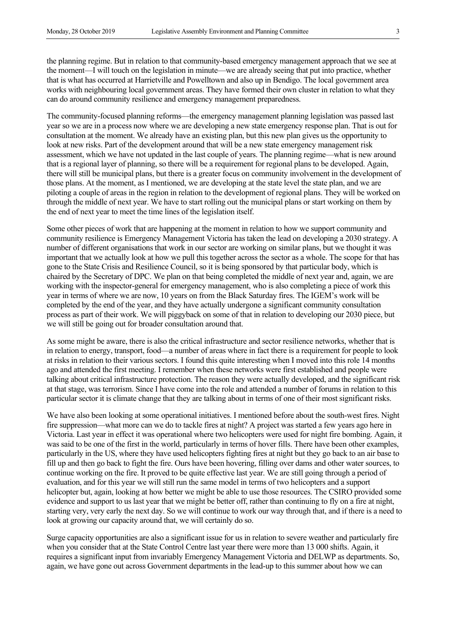the planning regime. But in relation to that community-based emergency management approach that we see at the moment—I will touch on the legislation in minute—we are already seeing that put into practice, whether that is what has occurred at Harrietville and Powelltown and also up in Bendigo. The local government area works with neighbouring local government areas. They have formed their own cluster in relation to what they can do around community resilience and emergency management preparedness.

The community-focused planning reforms—the emergency management planning legislation was passed last year so we are in a process now where we are developing a new state emergency response plan. That is out for consultation at the moment. We already have an existing plan, but this new plan gives us the opportunity to look at new risks. Part of the development around that will be a new state emergency management risk assessment, which we have not updated in the last couple of years. The planning regime—what is new around that is a regional layer of planning, so there will be a requirement for regional plans to be developed. Again, there will still be municipal plans, but there is a greater focus on community involvement in the development of those plans. At the moment, as I mentioned, we are developing at the state level the state plan, and we are piloting a couple of areas in the region in relation to the development of regional plans. They will be worked on through the middle of next year. We have to start rolling out the municipal plans or start working on them by the end of next year to meet the time lines of the legislation itself.

Some other pieces of work that are happening at the moment in relation to how we support community and community resilience is Emergency Management Victoria has taken the lead on developing a 2030 strategy. A number of different organisations that work in our sector are working on similar plans, but we thought it was important that we actually look at how we pull this together across the sector as a whole. The scope for that has gone to the State Crisis and Resilience Council, so it is being sponsored by that particular body, which is chaired by the Secretary of DPC. We plan on that being completed the middle of next year and, again, we are working with the inspector-general for emergency management, who is also completing a piece of work this year in terms of where we are now, 10 years on from the Black Saturday fires. The IGEM's work will be completed by the end of the year, and they have actually undergone a significant community consultation process as part of their work. We will piggyback on some of that in relation to developing our 2030 piece, but we will still be going out for broader consultation around that.

As some might be aware, there is also the critical infrastructure and sector resilience networks, whether that is in relation to energy, transport, food—a number of areas where in fact there is a requirement for people to look at risks in relation to their various sectors. I found this quite interesting when I moved into this role 14 months ago and attended the first meeting. I remember when these networks were first established and people were talking about critical infrastructure protection. The reason they were actually developed, and the significant risk at that stage, was terrorism. Since I have come into the role and attended a number of forums in relation to this particular sector it is climate change that they are talking about in terms of one of their most significant risks.

We have also been looking at some operational initiatives. I mentioned before about the south-west fires. Night fire suppression—what more can we do to tackle fires at night? A project was started a few years ago here in Victoria. Last year in effect it was operational where two helicopters were used for night fire bombing. Again, it was said to be one of the first in the world, particularly in terms of hover fills. There have been other examples, particularly in the US, where they have used helicopters fighting fires at night but they go back to an air base to fill up and then go back to fight the fire. Ours have been hovering, filling over dams and other water sources, to continue working on the fire. It proved to be quite effective last year. We are still going through a period of evaluation, and for this year we will still run the same model in terms of two helicopters and a support helicopter but, again, looking at how better we might be able to use those resources. The CSIRO provided some evidence and support to us last year that we might be better off, rather than continuing to fly on a fire at night, starting very, very early the next day. So we will continue to work our way through that, and if there is a need to look at growing our capacity around that, we will certainly do so.

Surge capacity opportunities are also a significant issue for us in relation to severe weather and particularly fire when you consider that at the State Control Centre last year there were more than 13 000 shifts. Again, it requires a significant input from invariably Emergency Management Victoria and DELWP as departments. So, again, we have gone out across Government departments in the lead-up to this summer about how we can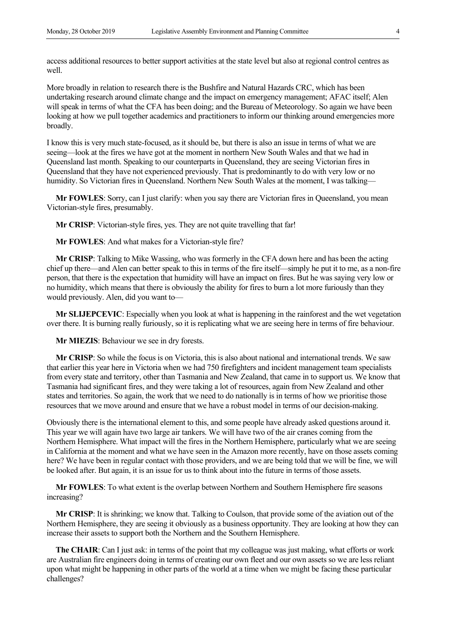access additional resources to better support activities at the state level but also at regional control centres as well.

More broadly in relation to research there is the Bushfire and Natural Hazards CRC, which has been undertaking research around climate change and the impact on emergency management; AFAC itself; Alen will speak in terms of what the CFA has been doing; and the Bureau of Meteorology. So again we have been looking at how we pull together academics and practitioners to inform our thinking around emergencies more broadly.

I know this is very much state-focused, as it should be, but there is also an issue in terms of what we are seeing—look at the fires we have got at the moment in northern New South Wales and that we had in Queensland last month. Speaking to our counterparts in Queensland, they are seeing Victorian fires in Queensland that they have not experienced previously. That is predominantly to do with very low or no humidity. So Victorian fires in Queensland. Northern New South Wales at the moment, I was talking—

**Mr FOWLES**: Sorry, can I just clarify: when you say there are Victorian fires in Queensland, you mean Victorian-style fires, presumably.

**Mr CRISP**: Victorian-style fires, yes. They are not quite travelling that far!

**Mr FOWLES**: And what makes for a Victorian-style fire?

**Mr CRISP**: Talking to Mike Wassing, who was formerly in the CFA down here and has been the acting chief up there—and Alen can better speak to this in terms of the fire itself—simply he put it to me, as a non-fire person, that there is the expectation that humidity will have an impact on fires. But he was saying very low or no humidity, which means that there is obviously the ability for fires to burn a lot more furiously than they would previously. Alen, did you want to—

**Mr SLIJEPCEVIC**: Especially when you look at what is happening in the rainforest and the wet vegetation over there. It is burning really furiously, so it is replicating what we are seeing here in terms of fire behaviour.

**Mr MIEZIS**: Behaviour we see in dry forests.

**Mr CRISP**: So while the focus is on Victoria, this is also about national and international trends. We saw that earlier this year here in Victoria when we had 750 firefighters and incident management team specialists from every state and territory, other than Tasmania and New Zealand, that came in to support us. We know that Tasmania had significant fires, and they were taking a lot of resources, again from New Zealand and other states and territories. So again, the work that we need to do nationally is in terms of how we prioritise those resources that we move around and ensure that we have a robust model in terms of our decision-making.

Obviously there is the international element to this, and some people have already asked questions around it. This year we will again have two large air tankers. We will have two of the air cranes coming from the Northern Hemisphere. What impact will the fires in the Northern Hemisphere, particularly what we are seeing in California at the moment and what we have seen in the Amazon more recently, have on those assets coming here? We have been in regular contact with those providers, and we are being told that we will be fine, we will be looked after. But again, it is an issue for us to think about into the future in terms of those assets.

**Mr FOWLES**: To what extent is the overlap between Northern and Southern Hemisphere fire seasons increasing?

**Mr CRISP**: It is shrinking; we know that. Talking to Coulson, that provide some of the aviation out of the Northern Hemisphere, they are seeing it obviously as a business opportunity. They are looking at how they can increase their assets to support both the Northern and the Southern Hemisphere.

**The CHAIR**: Can I just ask: in terms of the point that my colleague was just making, what efforts or work are Australian fire engineers doing in terms of creating our own fleet and our own assets so we are less reliant upon what might be happening in other parts of the world at a time when we might be facing these particular challenges?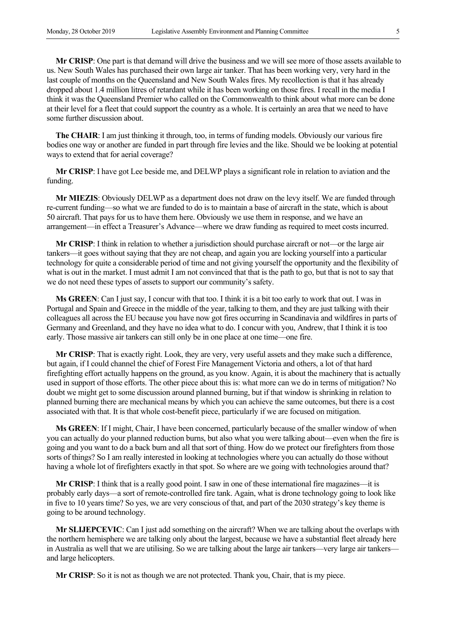**Mr CRISP**: One part is that demand will drive the business and we will see more of those assets available to us. New South Wales has purchased their own large air tanker. That has been working very, very hard in the last couple of months on the Queensland and New South Wales fires. My recollection is that it has already dropped about 1.4 million litres of retardant while it has been working on those fires. I recall in the media I think it was the Queensland Premier who called on the Commonwealth to think about what more can be done at their level for a fleet that could support the country as a whole. It is certainly an area that we need to have some further discussion about.

**The CHAIR**: I am just thinking it through, too, in terms of funding models. Obviously our various fire bodies one way or another are funded in part through fire levies and the like. Should we be looking at potential ways to extend that for aerial coverage?

**Mr CRISP**: I have got Lee beside me, and DELWP plays a significant role in relation to aviation and the funding.

**Mr MIEZIS**: Obviously DELWP as a department does not draw on the levy itself. We are funded through re-current funding—so what we are funded to do is to maintain a base of aircraft in the state, which is about 50 aircraft. That pays for us to have them here. Obviously we use them in response, and we have an arrangement—in effect a Treasurer's Advance—where we draw funding as required to meet costs incurred.

**Mr CRISP**: I think in relation to whether a jurisdiction should purchase aircraft or not—or the large air tankers—it goes without saying that they are not cheap, and again you are locking yourself into a particular technology for quite a considerable period of time and not giving yourself the opportunity and the flexibility of what is out in the market. I must admit I am not convinced that that is the path to go, but that is not to say that we do not need these types of assets to support our community's safety.

**Ms GREEN**: Can I just say, I concur with that too. I think it is a bit too early to work that out. I was in Portugal and Spain and Greece in the middle of the year, talking to them, and they are just talking with their colleagues all across the EU because you have now got fires occurring in Scandinavia and wildfires in parts of Germany and Greenland, and they have no idea what to do. I concur with you, Andrew, that I think it is too early. Those massive air tankers can still only be in one place at one time—one fire.

**Mr CRISP**: That is exactly right. Look, they are very, very useful assets and they make such a difference, but again, if I could channel the chief of Forest Fire Management Victoria and others, a lot of that hard firefighting effort actually happens on the ground, as you know. Again, it is about the machinery that is actually used in support of those efforts. The other piece about this is: what more can we do in terms of mitigation? No doubt we might get to some discussion around planned burning, but if that window is shrinking in relation to planned burning there are mechanical means by which you can achieve the same outcomes, but there is a cost associated with that. It is that whole cost-benefit piece, particularly if we are focused on mitigation.

**Ms GREEN**: If I might, Chair, I have been concerned, particularly because of the smaller window of when you can actually do your planned reduction burns, but also what you were talking about—even when the fire is going and you want to do a back burn and all that sort of thing. How do we protect our firefighters from those sorts of things? So I am really interested in looking at technologies where you can actually do those without having a whole lot of firefighters exactly in that spot. So where are we going with technologies around that?

**Mr CRISP**: I think that is a really good point. I saw in one of these international fire magazines—it is probably early days—a sort of remote-controlled fire tank. Again, what is drone technology going to look like in five to 10 years time? So yes, we are very conscious of that, and part of the 2030 strategy's key theme is going to be around technology.

**Mr SLIJEPCEVIC**: Can I just add something on the aircraft? When we are talking about the overlaps with the northern hemisphere we are talking only about the largest, because we have a substantial fleet already here in Australia as well that we are utilising. So we are talking about the large air tankers—very large air tankers and large helicopters.

**Mr CRISP**: So it is not as though we are not protected. Thank you, Chair, that is my piece.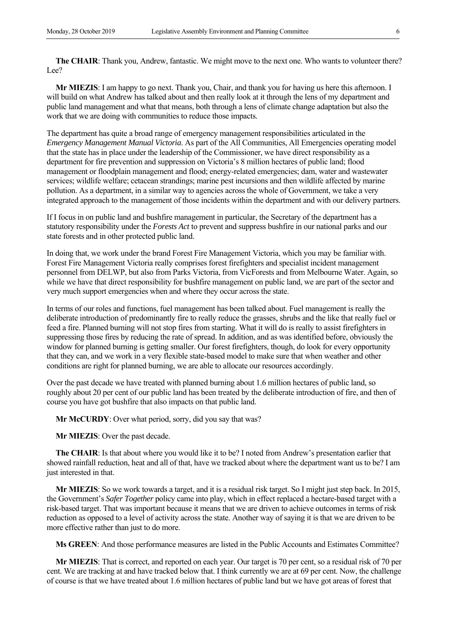**The CHAIR**: Thank you, Andrew, fantastic. We might move to the next one. Who wants to volunteer there? Lee?

**Mr MIEZIS**: I am happy to go next. Thank you, Chair, and thank you for having us here this afternoon. I will build on what Andrew has talked about and then really look at it through the lens of my department and public land management and what that means, both through a lens of climate change adaptation but also the work that we are doing with communities to reduce those impacts.

The department has quite a broad range of emergency management responsibilities articulated in the *Emergency Management Manual Victoria*. As part of the All Communities, All Emergencies operating model that the state has in place under the leadership of the Commissioner, we have direct responsibility as a department for fire prevention and suppression on Victoria's 8 million hectares of public land; flood management or floodplain management and flood; energy-related emergencies; dam, water and wastewater services; wildlife welfare; cetacean strandings; marine pest incursions and then wildlife affected by marine pollution. As a department, in a similar way to agencies across the whole of Government, we take a very integrated approach to the management of those incidents within the department and with our delivery partners.

If I focus in on public land and bushfire management in particular, the Secretary of the department has a statutory responsibility under the *Forests Act* to prevent and suppress bushfire in our national parks and our state forests and in other protected public land.

In doing that, we work under the brand Forest Fire Management Victoria, which you may be familiar with. Forest Fire Management Victoria really comprises forest firefighters and specialist incident management personnel from DELWP, but also from Parks Victoria, from VicForests and from Melbourne Water. Again, so while we have that direct responsibility for bushfire management on public land, we are part of the sector and very much support emergencies when and where they occur across the state.

In terms of our roles and functions, fuel management has been talked about. Fuel management is really the deliberate introduction of predominantly fire to really reduce the grasses, shrubs and the like that really fuel or feed a fire. Planned burning will not stop fires from starting. What it will do is really to assist firefighters in suppressing those fires by reducing the rate of spread. In addition, and as was identified before, obviously the window for planned burning is getting smaller. Our forest firefighters, though, do look for every opportunity that they can, and we work in a very flexible state-based model to make sure that when weather and other conditions are right for planned burning, we are able to allocate our resources accordingly.

Over the past decade we have treated with planned burning about 1.6 million hectares of public land, so roughly about 20 per cent of our public land has been treated by the deliberate introduction of fire, and then of course you have got bushfire that also impacts on that public land.

**Mr McCURDY**: Over what period, sorry, did you say that was?

**Mr MIEZIS**: Over the past decade.

**The CHAIR**: Is that about where you would like it to be? I noted from Andrew's presentation earlier that showed rainfall reduction, heat and all of that, have we tracked about where the department want us to be? I am just interested in that.

**Mr MIEZIS**: So we work towards a target, and it is a residual risk target. So I might just step back. In 2015, the Government's *Safer Together* policy came into play, which in effect replaced a hectare-based target with a risk-based target. That was important because it means that we are driven to achieve outcomes in terms of risk reduction as opposed to a level of activity across the state. Another way of saying it is that we are driven to be more effective rather than just to do more.

**Ms GREEN**: And those performance measures are listed in the Public Accounts and Estimates Committee?

**Mr MIEZIS**: That is correct, and reported on each year. Our target is 70 per cent, so a residual risk of 70 per cent. We are tracking at and have tracked below that. I think currently we are at 69 per cent. Now, the challenge of course is that we have treated about 1.6 million hectares of public land but we have got areas of forest that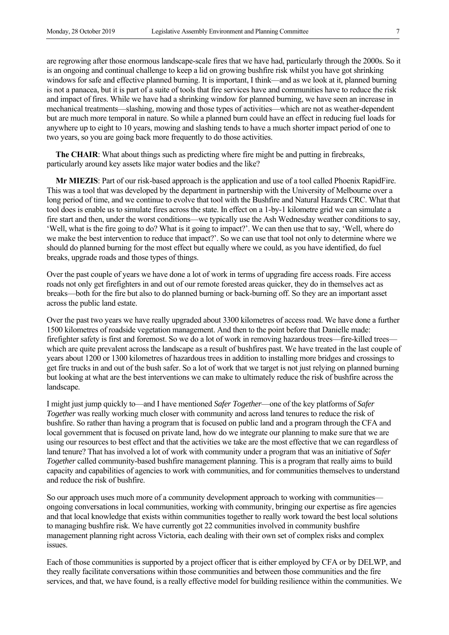are regrowing after those enormous landscape-scale fires that we have had, particularly through the 2000s. So it is an ongoing and continual challenge to keep a lid on growing bushfire risk whilst you have got shrinking windows for safe and effective planned burning. It is important, I think—and as we look at it, planned burning is not a panacea, but it is part of a suite of tools that fire services have and communities have to reduce the risk and impact of fires. While we have had a shrinking window for planned burning, we have seen an increase in mechanical treatments—slashing, mowing and those types of activities—which are not as weather-dependent but are much more temporal in nature. So while a planned burn could have an effect in reducing fuel loads for anywhere up to eight to 10 years, mowing and slashing tends to have a much shorter impact period of one to two years, so you are going back more frequently to do those activities.

**The CHAIR**: What about things such as predicting where fire might be and putting in firebreaks, particularly around key assets like major water bodies and the like?

**Mr MIEZIS**: Part of our risk-based approach is the application and use of a tool called Phoenix RapidFire. This was a tool that was developed by the department in partnership with the University of Melbourne over a long period of time, and we continue to evolve that tool with the Bushfire and Natural Hazards CRC. What that tool does is enable us to simulate fires across the state. In effect on a 1-by-1 kilometre grid we can simulate a fire start and then, under the worst conditions—we typically use the Ash Wednesday weather conditions to say, 'Well, what is the fire going to do? What is it going to impact?'. We can then use that to say, 'Well, where do we make the best intervention to reduce that impact?'. So we can use that tool not only to determine where we should do planned burning for the most effect but equally where we could, as you have identified, do fuel breaks, upgrade roads and those types of things.

Over the past couple of years we have done a lot of work in terms of upgrading fire access roads. Fire access roads not only get firefighters in and out of our remote forested areas quicker, they do in themselves act as breaks—both for the fire but also to do planned burning or back-burning off. So they are an important asset across the public land estate.

Over the past two years we have really upgraded about 3300 kilometres of access road. We have done a further 1500 kilometres of roadside vegetation management. And then to the point before that Danielle made: firefighter safety is first and foremost. So we do a lot of work in removing hazardous trees—fire-killed trees which are quite prevalent across the landscape as a result of bushfires past. We have treated in the last couple of years about 1200 or 1300 kilometres of hazardous trees in addition to installing more bridges and crossings to get fire trucks in and out of the bush safer. So a lot of work that we target is not just relying on planned burning but looking at what are the best interventions we can make to ultimately reduce the risk of bushfire across the landscape.

I might just jump quickly to—and I have mentioned *Safer Together*—one of the key platforms of *Safer Together* was really working much closer with community and across land tenures to reduce the risk of bushfire. So rather than having a program that is focused on public land and a program through the CFA and local government that is focused on private land, how do we integrate our planning to make sure that we are using our resources to best effect and that the activities we take are the most effective that we can regardless of land tenure? That has involved a lot of work with community under a program that was an initiative of *Safer Together* called community-based bushfire management planning. This is a program that really aims to build capacity and capabilities of agencies to work with communities, and for communities themselves to understand and reduce the risk of bushfire.

So our approach uses much more of a community development approach to working with communities ongoing conversations in local communities, working with community, bringing our expertise as fire agencies and that local knowledge that exists within communities together to really work toward the best local solutions to managing bushfire risk. We have currently got 22 communities involved in community bushfire management planning right across Victoria, each dealing with their own set of complex risks and complex issues.

Each of those communities is supported by a project officer that is either employed by CFA or by DELWP, and they really facilitate conversations within those communities and between those communities and the fire services, and that, we have found, is a really effective model for building resilience within the communities. We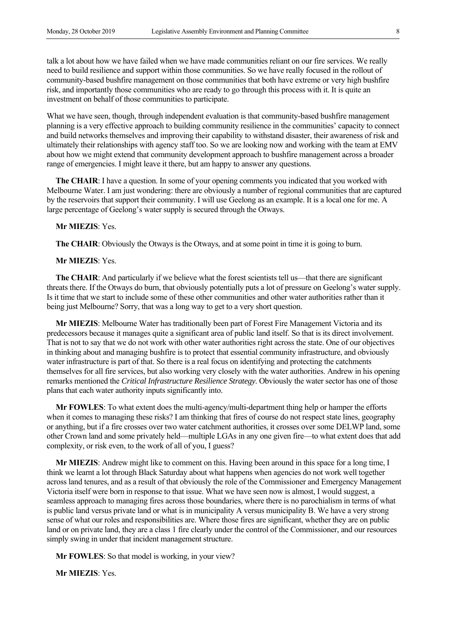talk a lot about how we have failed when we have made communities reliant on our fire services. We really need to build resilience and support within those communities. So we have really focused in the rollout of community-based bushfire management on those communities that both have extreme or very high bushfire risk, and importantly those communities who are ready to go through this process with it. It is quite an investment on behalf of those communities to participate.

What we have seen, though, through independent evaluation is that community-based bushfire management planning is a very effective approach to building community resilience in the communities' capacity to connect and build networks themselves and improving their capability to withstand disaster, their awareness of risk and ultimately their relationships with agency staff too. So we are looking now and working with the team at EMV about how we might extend that community development approach to bushfire management across a broader range of emergencies. I might leave it there, but am happy to answer any questions.

**The CHAIR**: I have a question. In some of your opening comments you indicated that you worked with Melbourne Water. I am just wondering: there are obviously a number of regional communities that are captured by the reservoirs that support their community. I will use Geelong as an example. It is a local one for me. A large percentage of Geelong's water supply is secured through the Otways.

## **Mr MIEZIS**: Yes.

**The CHAIR**: Obviously the Otways is the Otways, and at some point in time it is going to burn.

## **Mr MIEZIS**: Yes.

**The CHAIR**: And particularly if we believe what the forest scientists tell us—that there are significant threats there. If the Otways do burn, that obviously potentially puts a lot of pressure on Geelong's water supply. Is it time that we start to include some of these other communities and other water authorities rather than it being just Melbourne? Sorry, that was a long way to get to a very short question.

**Mr MIEZIS**: Melbourne Water has traditionally been part of Forest Fire Management Victoria and its predecessors because it manages quite a significant area of public land itself. So that is its direct involvement. That is not to say that we do not work with other water authorities right across the state. One of our objectives in thinking about and managing bushfire is to protect that essential community infrastructure, and obviously water infrastructure is part of that. So there is a real focus on identifying and protecting the catchments themselves for all fire services, but also working very closely with the water authorities. Andrew in his opening remarks mentioned the *Critical Infrastructure Resilience Strategy*. Obviously the water sector has one of those plans that each water authority inputs significantly into.

**Mr FOWLES**: To what extent does the multi-agency/multi-department thing help or hamper the efforts when it comes to managing these risks? I am thinking that fires of course do not respect state lines, geography or anything, but if a fire crosses over two water catchment authorities, it crosses over some DELWP land, some other Crown land and some privately held—multiple LGAs in any one given fire—to what extent does that add complexity, or risk even, to the work of all of you, I guess?

**Mr MIEZIS**: Andrew might like to comment on this. Having been around in this space for a long time, I think we learnt a lot through Black Saturday about what happens when agencies do not work well together across land tenures, and as a result of that obviously the role of the Commissioner and Emergency Management Victoria itself were born in response to that issue. What we have seen now is almost, I would suggest, a seamless approach to managing fires across those boundaries, where there is no parochialism in terms of what is public land versus private land or what is in municipality A versus municipality B. We have a very strong sense of what our roles and responsibilities are. Where those fires are significant, whether they are on public land or on private land, they are a class 1 fire clearly under the control of the Commissioner, and our resources simply swing in under that incident management structure.

**Mr FOWLES**: So that model is working, in your view?

**Mr MIEZIS**: Yes.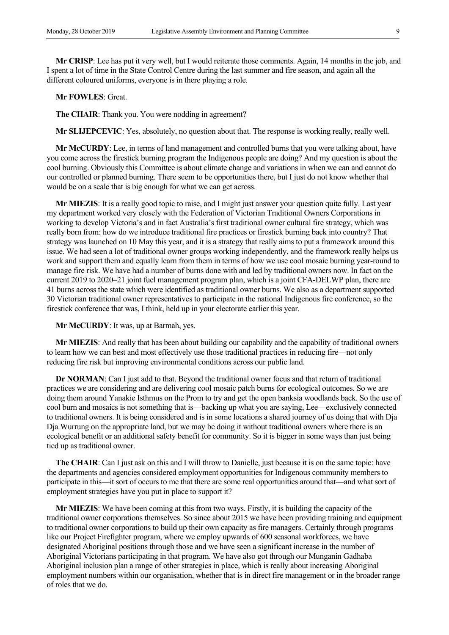**Mr CRISP**: Lee has put it very well, but I would reiterate those comments. Again, 14 months in the job, and I spent a lot of time in the State Control Centre during the last summer and fire season, and again all the different coloured uniforms, everyone is in there playing a role.

#### **Mr FOWLES**: Great.

**The CHAIR**: Thank you. You were nodding in agreement?

**Mr SLIJEPCEVIC**: Yes, absolutely, no question about that. The response is working really, really well.

**Mr McCURDY**: Lee, in terms of land management and controlled burns that you were talking about, have you come across the firestick burning program the Indigenous people are doing? And my question is about the cool burning. Obviously this Committee is about climate change and variations in when we can and cannot do our controlled or planned burning. There seem to be opportunities there, but I just do not know whether that would be on a scale that is big enough for what we can get across.

**Mr MIEZIS**: It is a really good topic to raise, and I might just answer your question quite fully. Last year my department worked very closely with the Federation of Victorian Traditional Owners Corporations in working to develop Victoria's and in fact Australia's first traditional owner cultural fire strategy, which was really born from: how do we introduce traditional fire practices or firestick burning back into country? That strategy was launched on 10 May this year, and it is a strategy that really aims to put a framework around this issue. We had seen a lot of traditional owner groups working independently, and the framework really helps us work and support them and equally learn from them in terms of how we use cool mosaic burning year-round to manage fire risk. We have had a number of burns done with and led by traditional owners now. In fact on the current 2019 to 2020–21 joint fuel management program plan, which is a joint CFA-DELWP plan, there are 41 burns across the state which were identified as traditional owner burns. We also as a department supported 30 Victorian traditional owner representatives to participate in the national Indigenous fire conference, so the firestick conference that was, I think, held up in your electorate earlier this year.

**Mr McCURDY**: It was, up at Barmah, yes.

**Mr MIEZIS**: And really that has been about building our capability and the capability of traditional owners to learn how we can best and most effectively use those traditional practices in reducing fire—not only reducing fire risk but improving environmental conditions across our public land.

**Dr NORMAN**: Can I just add to that. Beyond the traditional owner focus and that return of traditional practices we are considering and are delivering cool mosaic patch burns for ecological outcomes. So we are doing them around Yanakie Isthmus on the Prom to try and get the open banksia woodlands back. So the use of cool burn and mosaics is not something that is—backing up what you are saying, Lee—exclusively connected to traditional owners. It is being considered and is in some locations a shared journey of us doing that with Dja Dja Wurrung on the appropriate land, but we may be doing it without traditional owners where there is an ecological benefit or an additional safety benefit for community. So it is bigger in some ways than just being tied up as traditional owner.

**The CHAIR**: Can I just ask on this and I will throw to Danielle, just because it is on the same topic: have the departments and agencies considered employment opportunities for Indigenous community members to participate in this—it sort of occurs to me that there are some real opportunities around that—and what sort of employment strategies have you put in place to support it?

**Mr MIEZIS**: We have been coming at this from two ways. Firstly, it is building the capacity of the traditional owner corporations themselves. So since about 2015 we have been providing training and equipment to traditional owner corporations to build up their own capacity as fire managers. Certainly through programs like our Project Firefighter program, where we employ upwards of 600 seasonal workforces, we have designated Aboriginal positions through those and we have seen a significant increase in the number of Aboriginal Victorians participating in that program. We have also got through our Munganin Gadhaba Aboriginal inclusion plan a range of other strategies in place, which is really about increasing Aboriginal employment numbers within our organisation, whether that is in direct fire management or in the broader range of roles that we do.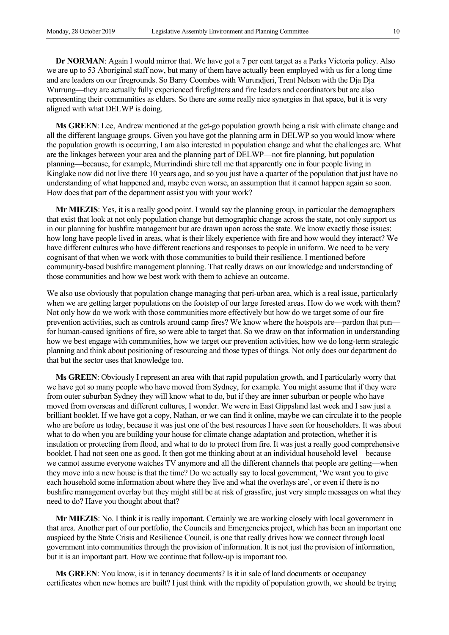**Dr NORMAN**: Again I would mirror that. We have got a 7 per cent target as a Parks Victoria policy. Also we are up to 53 Aboriginal staff now, but many of them have actually been employed with us for a long time and are leaders on our firegrounds. So Barry Coombes with Wurundjeri, Trent Nelson with the Dja Dja Wurrung—they are actually fully experienced firefighters and fire leaders and coordinators but are also representing their communities as elders. So there are some really nice synergies in that space, but it is very aligned with what DELWP is doing.

**Ms GREEN**: Lee, Andrew mentioned at the get-go population growth being a risk with climate change and all the different language groups. Given you have got the planning arm in DELWP so you would know where the population growth is occurring, I am also interested in population change and what the challenges are. What are the linkages between your area and the planning part of DELWP—not fire planning, but population planning—because, for example, Murrindindi shire tell me that apparently one in four people living in Kinglake now did not live there 10 years ago, and so you just have a quarter of the population that just have no understanding of what happened and, maybe even worse, an assumption that it cannot happen again so soon. How does that part of the department assist you with your work?

**Mr MIEZIS**: Yes, it is a really good point. I would say the planning group, in particular the demographers that exist that look at not only population change but demographic change across the state, not only support us in our planning for bushfire management but are drawn upon across the state. We know exactly those issues: how long have people lived in areas, what is their likely experience with fire and how would they interact? We have different cultures who have different reactions and responses to people in uniform. We need to be very cognisant of that when we work with those communities to build their resilience. I mentioned before community-based bushfire management planning. That really draws on our knowledge and understanding of those communities and how we best work with them to achieve an outcome.

We also use obviously that population change managing that peri-urban area, which is a real issue, particularly when we are getting larger populations on the footstep of our large forested areas. How do we work with them? Not only how do we work with those communities more effectively but how do we target some of our fire prevention activities, such as controls around camp fires? We know where the hotspots are—pardon that pun for human-caused ignitions of fire, so were able to target that. So we draw on that information in understanding how we best engage with communities, how we target our prevention activities, how we do long-term strategic planning and think about positioning of resourcing and those types of things. Not only does our department do that but the sector uses that knowledge too.

**Ms GREEN**: Obviously I represent an area with that rapid population growth, and I particularly worry that we have got so many people who have moved from Sydney, for example. You might assume that if they were from outer suburban Sydney they will know what to do, but if they are inner suburban or people who have moved from overseas and different cultures, I wonder. We were in East Gippsland last week and I saw just a brilliant booklet. If we have got a copy, Nathan, or we can find it online, maybe we can circulate it to the people who are before us today, because it was just one of the best resources I have seen for householders. It was about what to do when you are building your house for climate change adaptation and protection, whether it is insulation or protecting from flood, and what to do to protect from fire. It was just a really good comprehensive booklet. I had not seen one as good. It then got me thinking about at an individual household level—because we cannot assume everyone watches TV anymore and all the different channels that people are getting—when they move into a new house is that the time? Do we actually say to local government, 'We want you to give each household some information about where they live and what the overlays are', or even if there is no bushfire management overlay but they might still be at risk of grassfire, just very simple messages on what they need to do? Have you thought about that?

**Mr MIEZIS**: No. I think it is really important. Certainly we are working closely with local government in that area. Another part of our portfolio, the Councils and Emergencies project, which has been an important one auspiced by the State Crisis and Resilience Council, is one that really drives how we connect through local government into communities through the provision of information. It is not just the provision of information, but it is an important part. How we continue that follow-up is important too.

**Ms GREEN**: You know, is it in tenancy documents? Is it in sale of land documents or occupancy certificates when new homes are built? I just think with the rapidity of population growth, we should be trying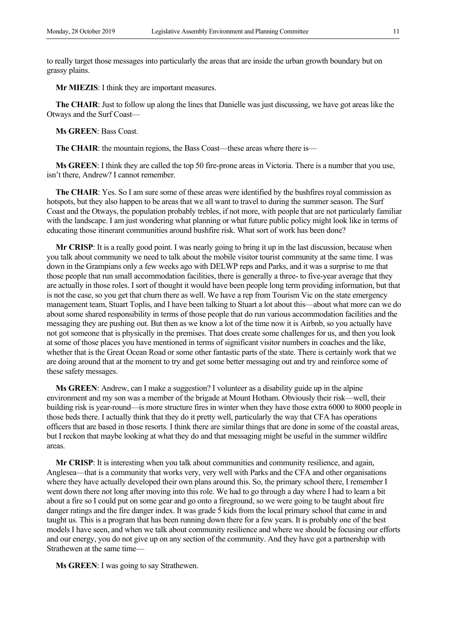to really target those messages into particularly the areas that are inside the urban growth boundary but on grassy plains.

**Mr MIEZIS**: I think they are important measures.

**The CHAIR**: Just to follow up along the lines that Danielle was just discussing, we have got areas like the Otways and the Surf Coast—

**Ms GREEN**: Bass Coast.

**The CHAIR**: the mountain regions, the Bass Coast—these areas where there is—

**Ms GREEN**: I think they are called the top 50 fire-prone areas in Victoria. There is a number that you use, isn't there, Andrew? I cannot remember.

**The CHAIR**: Yes. So I am sure some of these areas were identified by the bushfires royal commission as hotspots, but they also happen to be areas that we all want to travel to during the summer season. The Surf Coast and the Otways, the population probably trebles, if not more, with people that are not particularly familiar with the landscape. I am just wondering what planning or what future public policy might look like in terms of educating those itinerant communities around bushfire risk. What sort of work has been done?

**Mr CRISP**: It is a really good point. I was nearly going to bring it up in the last discussion, because when you talk about community we need to talk about the mobile visitor tourist community at the same time. I was down in the Grampians only a few weeks ago with DELWP reps and Parks, and it was a surprise to me that those people that run small accommodation facilities, there is generally a three- to five-year average that they are actually in those roles. I sort of thought it would have been people long term providing information, but that is not the case, so you get that churn there as well. We have a rep from Tourism Vic on the state emergency management team, Stuart Toplis, and I have been talking to Stuart a lot about this—about what more can we do about some shared responsibility in terms of those people that do run various accommodation facilities and the messaging they are pushing out. But then as we know a lot of the time now it is Airbnb, so you actually have not got someone that is physically in the premises. That does create some challenges for us, and then you look at some of those places you have mentioned in terms of significant visitor numbers in coaches and the like, whether that is the Great Ocean Road or some other fantastic parts of the state. There is certainly work that we are doing around that at the moment to try and get some better messaging out and try and reinforce some of these safety messages.

**Ms GREEN**: Andrew, can I make a suggestion? I volunteer as a disability guide up in the alpine environment and my son was a member of the brigade at Mount Hotham. Obviously their risk—well, their building risk is year-round—is more structure fires in winter when they have those extra 6000 to 8000 people in those beds there. I actually think that they do it pretty well, particularly the way that CFA has operations officers that are based in those resorts. I think there are similar things that are done in some of the coastal areas, but I reckon that maybe looking at what they do and that messaging might be useful in the summer wildfire areas.

**Mr CRISP**: It is interesting when you talk about communities and community resilience, and again, Anglesea—that is a community that works very, very well with Parks and the CFA and other organisations where they have actually developed their own plans around this. So, the primary school there, I remember I went down there not long after moving into this role. We had to go through a day where I had to learn a bit about a fire so I could put on some gear and go onto a fireground, so we were going to be taught about fire danger ratings and the fire danger index. It was grade 5 kids from the local primary school that came in and taught us. This is a program that has been running down there for a few years. It is probably one of the best models I have seen, and when we talk about community resilience and where we should be focusing our efforts and our energy, you do not give up on any section of the community. And they have got a partnership with Strathewen at the same time—

**Ms GREEN**: I was going to say Strathewen.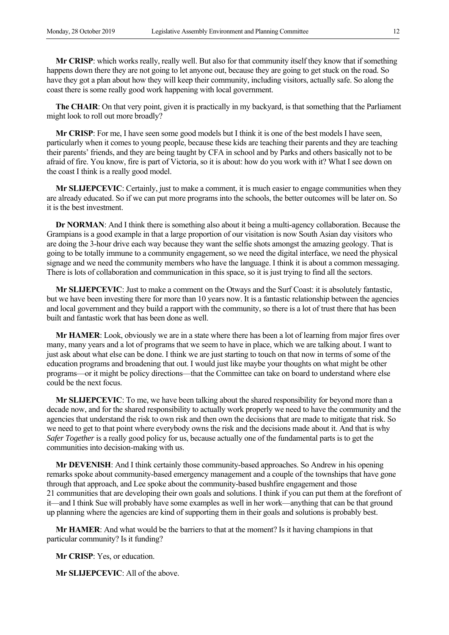**Mr CRISP**: which works really, really well. But also for that community itself they know that if something happens down there they are not going to let anyone out, because they are going to get stuck on the road. So have they got a plan about how they will keep their community, including visitors, actually safe. So along the coast there is some really good work happening with local government.

**The CHAIR**: On that very point, given it is practically in my backyard, is that something that the Parliament might look to roll out more broadly?

**Mr CRISP**: For me, I have seen some good models but I think it is one of the best models I have seen, particularly when it comes to young people, because these kids are teaching their parents and they are teaching their parents' friends, and they are being taught by CFA in school and by Parks and others basically not to be afraid of fire. You know, fire is part of Victoria, so it is about: how do you work with it? What I see down on the coast I think is a really good model.

**Mr SLIJEPCEVIC**: Certainly, just to make a comment, it is much easier to engage communities when they are already educated. So if we can put more programs into the schools, the better outcomes will be later on. So it is the best investment.

**Dr NORMAN**: And I think there is something also about it being a multi-agency collaboration. Because the Grampians is a good example in that a large proportion of our visitation is now South Asian day visitors who are doing the 3-hour drive each way because they want the selfie shots amongst the amazing geology. That is going to be totally immune to a community engagement, so we need the digital interface, we need the physical signage and we need the community members who have the language. I think it is about a common messaging. There is lots of collaboration and communication in this space, so it is just trying to find all the sectors.

**Mr SLIJEPCEVIC**: Just to make a comment on the Otways and the Surf Coast: it is absolutely fantastic, but we have been investing there for more than 10 years now. It is a fantastic relationship between the agencies and local government and they build a rapport with the community, so there is a lot of trust there that has been built and fantastic work that has been done as well.

**Mr HAMER**: Look, obviously we are in a state where there has been a lot of learning from major fires over many, many years and a lot of programs that we seem to have in place, which we are talking about. I want to just ask about what else can be done. I think we are just starting to touch on that now in terms of some of the education programs and broadening that out. I would just like maybe your thoughts on what might be other programs—or it might be policy directions—that the Committee can take on board to understand where else could be the next focus.

**Mr SLIJEPCEVIC**: To me, we have been talking about the shared responsibility for beyond more than a decade now, and for the shared responsibility to actually work properly we need to have the community and the agencies that understand the risk to own risk and then own the decisions that are made to mitigate that risk. So we need to get to that point where everybody owns the risk and the decisions made about it. And that is why *Safer Together* is a really good policy for us, because actually one of the fundamental parts is to get the communities into decision-making with us.

**Mr DEVENISH**: And I think certainly those community-based approaches. So Andrew in his opening remarks spoke about community-based emergency management and a couple of the townships that have gone through that approach, and Lee spoke about the community-based bushfire engagement and those 21 communities that are developing their own goals and solutions. I think if you can put them at the forefront of it—and I think Sue will probably have some examples as well in her work—anything that can be that ground up planning where the agencies are kind of supporting them in their goals and solutions is probably best.

**Mr HAMER**: And what would be the barriers to that at the moment? Is it having champions in that particular community? Is it funding?

**Mr CRISP**: Yes, or education.

**Mr SLIJEPCEVIC**: All of the above.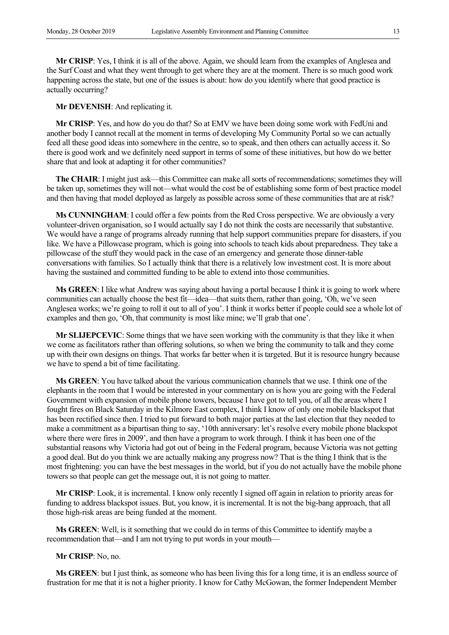**Mr CRISP**: Yes, I think it is all of the above. Again, we should learn from the examples of Anglesea and the Surf Coast and what they went through to get where they are at the moment. There is so much good work happening across the state, but one of the issues is about: how do you identify where that good practice is actually occurring?

**Mr DEVENISH**: And replicating it.

**Mr CRISP**: Yes, and how do you do that? So at EMV we have been doing some work with FedUni and another body I cannot recall at the moment in terms of developing My Community Portal so we can actually feed all these good ideas into somewhere in the centre, so to speak, and then others can actually access it. So there is good work and we definitely need support in terms of some of these initiatives, but how do we better share that and look at adapting it for other communities?

**The CHAIR**: I might just ask—this Committee can make all sorts of recommendations; sometimes they will be taken up, sometimes they will not—what would the cost be of establishing some form of best practice model and then having that model deployed as largely as possible across some of these communities that are at risk?

**Ms CUNNINGHAM**: I could offer a few points from the Red Cross perspective. We are obviously a very volunteer-driven organisation, so I would actually say I do not think the costs are necessarily that substantive. We would have a range of programs already running that help support communities prepare for disasters, if you like. We have a Pillowcase program, which is going into schools to teach kids about preparedness. They take a pillowcase of the stuff they would pack in the case of an emergency and generate those dinner-table conversations with families. So I actually think that there is a relatively low investment cost. It is more about having the sustained and committed funding to be able to extend into those communities.

**Ms GREEN**: I like what Andrew was saying about having a portal because I think it is going to work where communities can actually choose the best fit—idea—that suits them, rather than going, 'Oh, we've seen Anglesea works; we're going to roll it out to all of you'. I think it works better if people could see a whole lot of examples and then go, 'Oh, that community is most like mine; we'll grab that one'.

**Mr SLIJEPCEVIC**: Some things that we have seen working with the community is that they like it when we come as facilitators rather than offering solutions, so when we bring the community to talk and they come up with their own designs on things. That works far better when it is targeted. But it is resource hungry because we have to spend a bit of time facilitating.

**Ms GREEN**: You have talked about the various communication channels that we use. I think one of the elephants in the room that I would be interested in your commentary on is how you are going with the Federal Government with expansion of mobile phone towers, because I have got to tell you, of all the areas where I fought fires on Black Saturday in the Kilmore East complex, I think I know of only one mobile blackspot that has been rectified since then. I tried to put forward to both major parties at the last election that they needed to make a commitment as a bipartisan thing to say, '10th anniversary: let's resolve every mobile phone blackspot where there were fires in 2009', and then have a program to work through. I think it has been one of the substantial reasons why Victoria had got out of being in the Federal program, because Victoria was not getting a good deal. But do you think we are actually making any progress now? That is the thing I think that is the most frightening: you can have the best messages in the world, but if you do not actually have the mobile phone towers so that people can get the message out, it is not going to matter.

**Mr CRISP**: Look, it is incremental. I know only recently I signed off again in relation to priority areas for funding to address blackspot issues. But, you know, it is incremental. It is not the big-bang approach, that all those high-risk areas are being funded at the moment.

**Ms GREEN**: Well, is it something that we could do in terms of this Committee to identify maybe a recommendation that—and I am not trying to put words in your mouth—

**Mr CRISP**: No, no.

**Ms GREEN**: but I just think, as someone who has been living this for a long time, it is an endless source of frustration for me that it is not a higher priority. I know for Cathy McGowan, the former Independent Member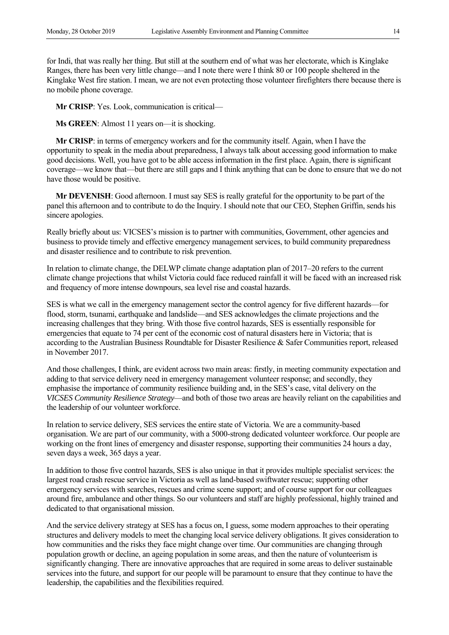for Indi, that was really her thing. But still at the southern end of what was her electorate, which is Kinglake Ranges, there has been very little change—and I note there were I think 80 or 100 people sheltered in the Kinglake West fire station. I mean, we are not even protecting those volunteer firefighters there because there is no mobile phone coverage.

**Mr CRISP**: Yes. Look, communication is critical—

**Ms GREEN**: Almost 11 years on—it is shocking.

**Mr CRISP**: in terms of emergency workers and for the community itself. Again, when I have the opportunity to speak in the media about preparedness, I always talk about accessing good information to make good decisions. Well, you have got to be able access information in the first place. Again, there is significant coverage—we know that—but there are still gaps and I think anything that can be done to ensure that we do not have those would be positive.

**Mr DEVENISH**: Good afternoon. I must say SES is really grateful for the opportunity to be part of the panel this afternoon and to contribute to do the Inquiry. I should note that our CEO, Stephen Griffin, sends his sincere apologies.

Really briefly about us: VICSES's mission is to partner with communities, Government, other agencies and business to provide timely and effective emergency management services, to build community preparedness and disaster resilience and to contribute to risk prevention.

In relation to climate change, the DELWP climate change adaptation plan of 2017–20 refers to the current climate change projections that whilst Victoria could face reduced rainfall it will be faced with an increased risk and frequency of more intense downpours, sea level rise and coastal hazards.

SES is what we call in the emergency management sector the control agency for five different hazards—for flood, storm, tsunami, earthquake and landslide—and SES acknowledges the climate projections and the increasing challenges that they bring. With those five control hazards, SES is essentially responsible for emergencies that equate to 74 per cent of the economic cost of natural disasters here in Victoria; that is according to the Australian Business Roundtable for Disaster Resilience & Safer Communities report, released in November 2017.

And those challenges, I think, are evident across two main areas: firstly, in meeting community expectation and adding to that service delivery need in emergency management volunteer response; and secondly, they emphasise the importance of community resilience building and, in the SES's case, vital delivery on the *VICSES Community Resilience Strategy*—and both of those two areas are heavily reliant on the capabilities and the leadership of our volunteer workforce.

In relation to service delivery, SES services the entire state of Victoria. We are a community-based organisation. We are part of our community, with a 5000-strong dedicated volunteer workforce. Our people are working on the front lines of emergency and disaster response, supporting their communities 24 hours a day, seven days a week, 365 days a year.

In addition to those five control hazards, SES is also unique in that it provides multiple specialist services: the largest road crash rescue service in Victoria as well as land-based swiftwater rescue; supporting other emergency services with searches, rescues and crime scene support; and of course support for our colleagues around fire, ambulance and other things. So our volunteers and staff are highly professional, highly trained and dedicated to that organisational mission.

And the service delivery strategy at SES has a focus on, I guess, some modern approaches to their operating structures and delivery models to meet the changing local service delivery obligations. It gives consideration to how communities and the risks they face might change over time. Our communities are changing through population growth or decline, an ageing population in some areas, and then the nature of volunteerism is significantly changing. There are innovative approaches that are required in some areas to deliver sustainable services into the future, and support for our people will be paramount to ensure that they continue to have the leadership, the capabilities and the flexibilities required.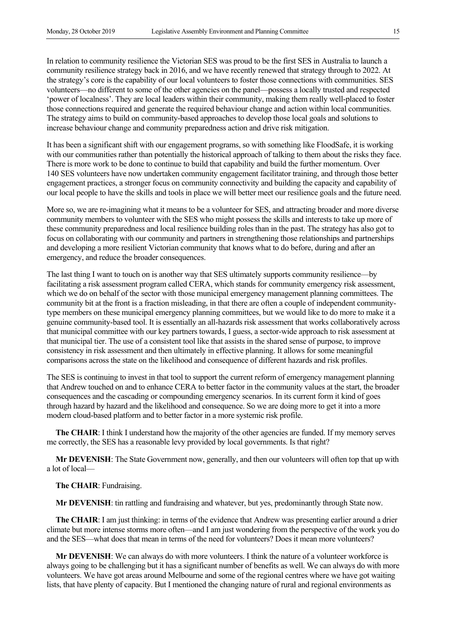In relation to community resilience the Victorian SES was proud to be the first SES in Australia to launch a community resilience strategy back in 2016, and we have recently renewed that strategy through to 2022. At the strategy's core is the capability of our local volunteers to foster those connections with communities. SES volunteers—no different to some of the other agencies on the panel—possess a locally trusted and respected 'power of localness'. They are local leaders within their community, making them really well-placed to foster those connections required and generate the required behaviour change and action within local communities. The strategy aims to build on community-based approaches to develop those local goals and solutions to increase behaviour change and community preparedness action and drive risk mitigation.

It has been a significant shift with our engagement programs, so with something like FloodSafe, it is working with our communities rather than potentially the historical approach of talking to them about the risks they face. There is more work to be done to continue to build that capability and build the further momentum. Over 140 SES volunteers have now undertaken community engagement facilitator training, and through those better engagement practices, a stronger focus on community connectivity and building the capacity and capability of our local people to have the skills and tools in place we will better meet our resilience goals and the future need.

More so, we are re-imagining what it means to be a volunteer for SES, and attracting broader and more diverse community members to volunteer with the SES who might possess the skills and interests to take up more of these community preparedness and local resilience building roles than in the past. The strategy has also got to focus on collaborating with our community and partners in strengthening those relationships and partnerships and developing a more resilient Victorian community that knows what to do before, during and after an emergency, and reduce the broader consequences.

The last thing I want to touch on is another way that SES ultimately supports community resilience—by facilitating a risk assessment program called CERA, which stands for community emergency risk assessment, which we do on behalf of the sector with those municipal emergency management planning committees. The community bit at the front is a fraction misleading, in that there are often a couple of independent communitytype members on these municipal emergency planning committees, but we would like to do more to make it a genuine community-based tool. It is essentially an all-hazards risk assessment that works collaboratively across that municipal committee with our key partners towards, I guess, a sector-wide approach to risk assessment at that municipal tier. The use of a consistent tool like that assists in the shared sense of purpose, to improve consistency in risk assessment and then ultimately in effective planning. It allows for some meaningful comparisons across the state on the likelihood and consequence of different hazards and risk profiles.

The SES is continuing to invest in that tool to support the current reform of emergency management planning that Andrew touched on and to enhance CERA to better factor in the community values at the start, the broader consequences and the cascading or compounding emergency scenarios. In its current form it kind of goes through hazard by hazard and the likelihood and consequence. So we are doing more to get it into a more modern cloud-based platform and to better factor in a more systemic risk profile.

**The CHAIR**: I think I understand how the majority of the other agencies are funded. If my memory serves me correctly, the SES has a reasonable levy provided by local governments. Is that right?

**Mr DEVENISH**: The State Government now, generally, and then our volunteers will often top that up with a lot of local—

**The CHAIR**: Fundraising.

**Mr DEVENISH**: tin rattling and fundraising and whatever, but yes, predominantly through State now.

**The CHAIR**: I am just thinking: in terms of the evidence that Andrew was presenting earlier around a drier climate but more intense storms more often—and I am just wondering from the perspective of the work you do and the SES—what does that mean in terms of the need for volunteers? Does it mean more volunteers?

**Mr DEVENISH**: We can always do with more volunteers. I think the nature of a volunteer workforce is always going to be challenging but it has a significant number of benefits as well. We can always do with more volunteers. We have got areas around Melbourne and some of the regional centres where we have got waiting lists, that have plenty of capacity. But I mentioned the changing nature of rural and regional environments as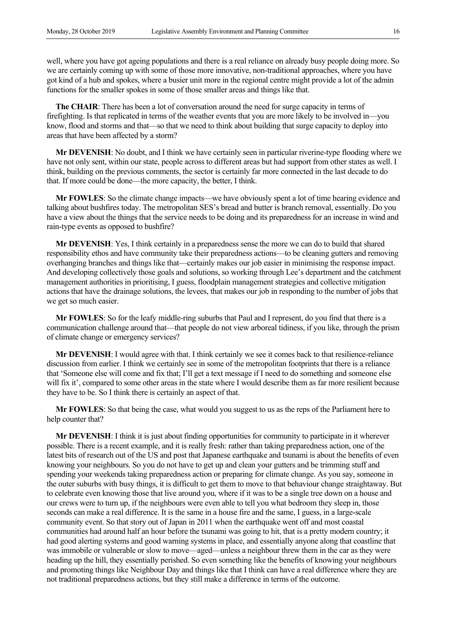well, where you have got ageing populations and there is a real reliance on already busy people doing more. So we are certainly coming up with some of those more innovative, non-traditional approaches, where you have got kind of a hub and spokes, where a busier unit more in the regional centre might provide a lot of the admin functions for the smaller spokes in some of those smaller areas and things like that.

**The CHAIR**: There has been a lot of conversation around the need for surge capacity in terms of firefighting. Is that replicated in terms of the weather events that you are more likely to be involved in—you know, flood and storms and that—so that we need to think about building that surge capacity to deploy into areas that have been affected by a storm?

**Mr DEVENISH**: No doubt, and I think we have certainly seen in particular riverine-type flooding where we have not only sent, within our state, people across to different areas but had support from other states as well. I think, building on the previous comments, the sector is certainly far more connected in the last decade to do that. If more could be done—the more capacity, the better, I think.

**Mr FOWLES**: So the climate change impacts—we have obviously spent a lot of time hearing evidence and talking about bushfires today. The metropolitan SES's bread and butter is branch removal, essentially. Do you have a view about the things that the service needs to be doing and its preparedness for an increase in wind and rain-type events as opposed to bushfire?

**Mr DEVENISH**: Yes, I think certainly in a preparedness sense the more we can do to build that shared responsibility ethos and have community take their preparedness actions—to be cleaning gutters and removing overhanging branches and things like that—certainly makes our job easier in minimising the response impact. And developing collectively those goals and solutions, so working through Lee's department and the catchment management authorities in prioritising, I guess, floodplain management strategies and collective mitigation actions that have the drainage solutions, the levees, that makes our job in responding to the number of jobs that we get so much easier.

**Mr FOWLES**: So for the leafy middle-ring suburbs that Paul and I represent, do you find that there is a communication challenge around that—that people do not view arboreal tidiness, if you like, through the prism of climate change or emergency services?

**Mr DEVENISH:** I would agree with that. I think certainly we see it comes back to that resilience-reliance discussion from earlier. I think we certainly see in some of the metropolitan footprints that there is a reliance that 'Someone else will come and fix that; I'll get a text message if I need to do something and someone else will fix it', compared to some other areas in the state where I would describe them as far more resilient because they have to be. So I think there is certainly an aspect of that.

**Mr FOWLES**: So that being the case, what would you suggest to us as the reps of the Parliament here to help counter that?

**Mr DEVENISH**: I think it is just about finding opportunities for community to participate in it wherever possible. There is a recent example, and it is really fresh: rather than taking preparedness action, one of the latest bits of research out of the US and post that Japanese earthquake and tsunami is about the benefits of even knowing your neighbours. So you do not have to get up and clean your gutters and be trimming stuff and spending your weekends taking preparedness action or preparing for climate change. As you say, someone in the outer suburbs with busy things, it is difficult to get them to move to that behaviour change straightaway. But to celebrate even knowing those that live around you, where if it was to be a single tree down on a house and our crews were to turn up, if the neighbours were even able to tell you what bedroom they sleep in, those seconds can make a real difference. It is the same in a house fire and the same, I guess, in a large-scale community event. So that story out of Japan in 2011 when the earthquake went off and most coastal communities had around half an hour before the tsunami was going to hit, that is a pretty modern country; it had good alerting systems and good warning systems in place, and essentially anyone along that coastline that was immobile or vulnerable or slow to move—aged—unless a neighbour threw them in the car as they were heading up the hill, they essentially perished. So even something like the benefits of knowing your neighbours and promoting things like Neighbour Day and things like that I think can have a real difference where they are not traditional preparedness actions, but they still make a difference in terms of the outcome.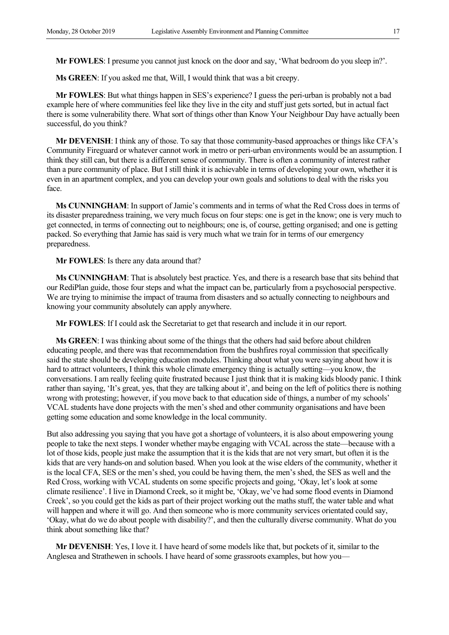**Mr FOWLES**: I presume you cannot just knock on the door and say, 'What bedroom do you sleep in?'.

**Ms GREEN**: If you asked me that, Will, I would think that was a bit creepy.

**Mr FOWLES**: But what things happen in SES's experience? I guess the peri-urban is probably not a bad example here of where communities feel like they live in the city and stuff just gets sorted, but in actual fact there is some vulnerability there. What sort of things other than Know Your Neighbour Day have actually been successful, do you think?

**Mr DEVENISH**: I think any of those. To say that those community-based approaches or things like CFA's Community Fireguard or whatever cannot work in metro or peri-urban environments would be an assumption. I think they still can, but there is a different sense of community. There is often a community of interest rather than a pure community of place. But I still think it is achievable in terms of developing your own, whether it is even in an apartment complex, and you can develop your own goals and solutions to deal with the risks you face.

**Ms CUNNINGHAM**: In support of Jamie's comments and in terms of what the Red Cross does in terms of its disaster preparedness training, we very much focus on four steps: one is get in the know; one is very much to get connected, in terms of connecting out to neighbours; one is, of course, getting organised; and one is getting packed. So everything that Jamie has said is very much what we train for in terms of our emergency preparedness.

**Mr FOWLES**: Is there any data around that?

**Ms CUNNINGHAM**: That is absolutely best practice. Yes, and there is a research base that sits behind that our RediPlan guide, those four steps and what the impact can be, particularly from a psychosocial perspective. We are trying to minimise the impact of trauma from disasters and so actually connecting to neighbours and knowing your community absolutely can apply anywhere.

**Mr FOWLES**: If I could ask the Secretariat to get that research and include it in our report.

**Ms GREEN**: I was thinking about some of the things that the others had said before about children educating people, and there was that recommendation from the bushfires royal commission that specifically said the state should be developing education modules. Thinking about what you were saying about how it is hard to attract volunteers, I think this whole climate emergency thing is actually setting—you know, the conversations. I am really feeling quite frustrated because I just think that it is making kids bloody panic. I think rather than saying, 'It's great, yes, that they are talking about it', and being on the left of politics there is nothing wrong with protesting; however, if you move back to that education side of things, a number of my schools' VCAL students have done projects with the men's shed and other community organisations and have been getting some education and some knowledge in the local community.

But also addressing you saying that you have got a shortage of volunteers, it is also about empowering young people to take the next steps. I wonder whether maybe engaging with VCAL across the state—because with a lot of those kids, people just make the assumption that it is the kids that are not very smart, but often it is the kids that are very hands-on and solution based. When you look at the wise elders of the community, whether it is the local CFA, SES or the men's shed, you could be having them, the men's shed, the SES as well and the Red Cross, working with VCAL students on some specific projects and going, 'Okay, let's look at some climate resilience'. I live in Diamond Creek, so it might be, 'Okay, we've had some flood events in Diamond Creek', so you could get the kids as part of their project working out the maths stuff, the water table and what will happen and where it will go. And then someone who is more community services orientated could say, 'Okay, what do we do about people with disability?', and then the culturally diverse community. What do you think about something like that?

**Mr DEVENISH**: Yes, I love it. I have heard of some models like that, but pockets of it, similar to the Anglesea and Strathewen in schools. I have heard of some grassroots examples, but how you—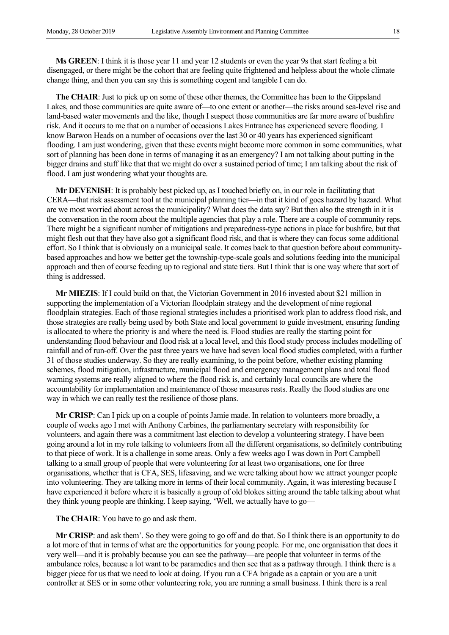**Ms GREEN**: I think it is those year 11 and year 12 students or even the year 9s that start feeling a bit disengaged, or there might be the cohort that are feeling quite frightened and helpless about the whole climate change thing, and then you can say this is something cogent and tangible I can do.

**The CHAIR**: Just to pick up on some of these other themes, the Committee has been to the Gippsland Lakes, and those communities are quite aware of—to one extent or another—the risks around sea-level rise and land-based water movements and the like, though I suspect those communities are far more aware of bushfire risk. And it occurs to me that on a number of occasions Lakes Entrance has experienced severe flooding. I know Barwon Heads on a number of occasions over the last 30 or 40 years has experienced significant flooding. I am just wondering, given that these events might become more common in some communities, what sort of planning has been done in terms of managing it as an emergency? I am not talking about putting in the bigger drains and stuff like that that we might do over a sustained period of time; I am talking about the risk of flood. I am just wondering what your thoughts are.

**Mr DEVENISH**: It is probably best picked up, as I touched briefly on, in our role in facilitating that CERA—that risk assessment tool at the municipal planning tier—in that it kind of goes hazard by hazard. What are we most worried about across the municipality? What does the data say? But then also the strength in it is the conversation in the room about the multiple agencies that play a role. There are a couple of community reps. There might be a significant number of mitigations and preparedness-type actions in place for bushfire, but that might flesh out that they have also got a significant flood risk, and that is where they can focus some additional effort. So I think that is obviously on a municipal scale. It comes back to that question before about communitybased approaches and how we better get the township-type-scale goals and solutions feeding into the municipal approach and then of course feeding up to regional and state tiers. But I think that is one way where that sort of thing is addressed.

**Mr MIEZIS**: If I could build on that, the Victorian Government in 2016 invested about \$21 million in supporting the implementation of a Victorian floodplain strategy and the development of nine regional floodplain strategies. Each of those regional strategies includes a prioritised work plan to address flood risk, and those strategies are really being used by both State and local government to guide investment, ensuring funding is allocated to where the priority is and where the need is. Flood studies are really the starting point for understanding flood behaviour and flood risk at a local level, and this flood study process includes modelling of rainfall and of run-off. Over the past three years we have had seven local flood studies completed, with a further 31 of those studies underway. So they are really examining, to the point before, whether existing planning schemes, flood mitigation, infrastructure, municipal flood and emergency management plans and total flood warning systems are really aligned to where the flood risk is, and certainly local councils are where the accountability for implementation and maintenance of those measures rests. Really the flood studies are one way in which we can really test the resilience of those plans.

**Mr CRISP**: Can I pick up on a couple of points Jamie made. In relation to volunteers more broadly, a couple of weeks ago I met with Anthony Carbines, the parliamentary secretary with responsibility for volunteers, and again there was a commitment last election to develop a volunteering strategy. I have been going around a lot in my role talking to volunteers from all the different organisations, so definitely contributing to that piece of work. It is a challenge in some areas. Only a few weeks ago I was down in Port Campbell talking to a small group of people that were volunteering for at least two organisations, one for three organisations, whether that is CFA, SES, lifesaving, and we were talking about how we attract younger people into volunteering. They are talking more in terms of their local community. Again, it was interesting because I have experienced it before where it is basically a group of old blokes sitting around the table talking about what they think young people are thinking. I keep saying, 'Well, we actually have to go—

**The CHAIR**: You have to go and ask them.

**Mr CRISP**: and ask them'. So they were going to go off and do that. So I think there is an opportunity to do a lot more of that in terms of what are the opportunities for young people. For me, one organisation that does it very well—and it is probably because you can see the pathway—are people that volunteer in terms of the ambulance roles, because a lot want to be paramedics and then see that as a pathway through. I think there is a bigger piece for us that we need to look at doing. If you run a CFA brigade as a captain or you are a unit controller at SES or in some other volunteering role, you are running a small business. I think there is a real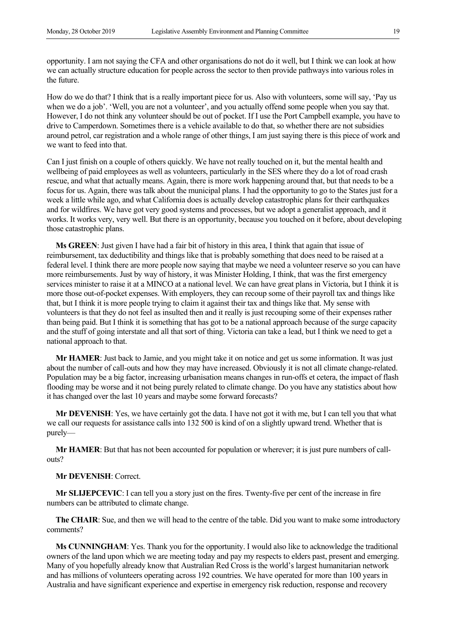opportunity. I am not saying the CFA and other organisations do not do it well, but I think we can look at how we can actually structure education for people across the sector to then provide pathways into various roles in the future.

How do we do that? I think that is a really important piece for us. Also with volunteers, some will say, 'Pay us when we do a job'. 'Well, you are not a volunteer', and you actually offend some people when you say that. However, I do not think any volunteer should be out of pocket. If I use the Port Campbell example, you have to drive to Camperdown. Sometimes there is a vehicle available to do that, so whether there are not subsidies around petrol, car registration and a whole range of other things, I am just saying there is this piece of work and we want to feed into that.

Can I just finish on a couple of others quickly. We have not really touched on it, but the mental health and wellbeing of paid employees as well as volunteers, particularly in the SES where they do a lot of road crash rescue, and what that actually means. Again, there is more work happening around that, but that needs to be a focus for us. Again, there was talk about the municipal plans. I had the opportunity to go to the States just for a week a little while ago, and what California does is actually develop catastrophic plans for their earthquakes and for wildfires. We have got very good systems and processes, but we adopt a generalist approach, and it works. It works very, very well. But there is an opportunity, because you touched on it before, about developing those catastrophic plans.

**Ms GREEN**: Just given I have had a fair bit of history in this area, I think that again that issue of reimbursement, tax deductibility and things like that is probably something that does need to be raised at a federal level. I think there are more people now saying that maybe we need a volunteer reserve so you can have more reimbursements. Just by way of history, it was Minister Holding, I think, that was the first emergency services minister to raise it at a MINCO at a national level. We can have great plans in Victoria, but I think it is more those out-of-pocket expenses. With employers, they can recoup some of their payroll tax and things like that, but I think it is more people trying to claim it against their tax and things like that. My sense with volunteers is that they do not feel as insulted then and it really is just recouping some of their expenses rather than being paid. But I think it is something that has got to be a national approach because of the surge capacity and the stuff of going interstate and all that sort of thing. Victoria can take a lead, but I think we need to get a national approach to that.

**Mr HAMER**: Just back to Jamie, and you might take it on notice and get us some information. It was just about the number of call-outs and how they may have increased. Obviously it is not all climate change-related. Population may be a big factor, increasing urbanisation means changes in run-offs et cetera, the impact of flash flooding may be worse and it not being purely related to climate change. Do you have any statistics about how it has changed over the last 10 years and maybe some forward forecasts?

**Mr DEVENISH**: Yes, we have certainly got the data. I have not got it with me, but I can tell you that what we call our requests for assistance calls into 132 500 is kind of on a slightly upward trend. Whether that is purely—

**Mr HAMER**: But that has not been accounted for population or wherever; it is just pure numbers of callouts?

### **Mr DEVENISH**: Correct.

**Mr SLIJEPCEVIC**: I can tell you a story just on the fires. Twenty-five per cent of the increase in fire numbers can be attributed to climate change.

**The CHAIR**: Sue, and then we will head to the centre of the table. Did you want to make some introductory comments?

**Ms CUNNINGHAM**: Yes. Thank you for the opportunity. I would also like to acknowledge the traditional owners of the land upon which we are meeting today and pay my respects to elders past, present and emerging. Many of you hopefully already know that Australian Red Cross is the world's largest humanitarian network and has millions of volunteers operating across 192 countries. We have operated for more than 100 years in Australia and have significant experience and expertise in emergency risk reduction, response and recovery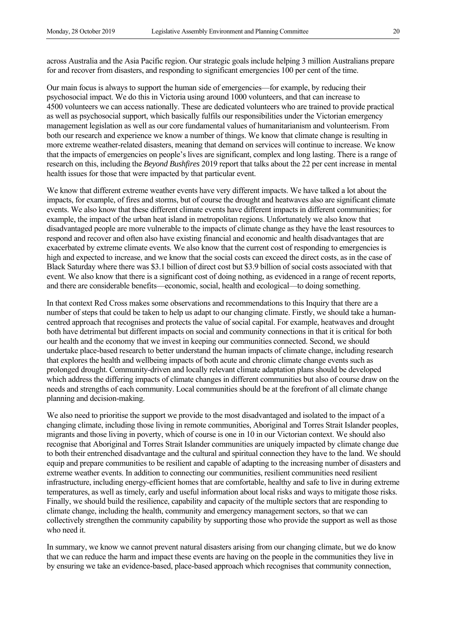across Australia and the Asia Pacific region. Our strategic goals include helping 3 million Australians prepare for and recover from disasters, and responding to significant emergencies 100 per cent of the time.

Our main focus is always to support the human side of emergencies—for example, by reducing their psychosocial impact. We do this in Victoria using around 1000 volunteers, and that can increase to 4500 volunteers we can access nationally. These are dedicated volunteers who are trained to provide practical as well as psychosocial support, which basically fulfils our responsibilities under the Victorian emergency management legislation as well as our core fundamental values of humanitarianism and volunteerism. From both our research and experience we know a number of things. We know that climate change is resulting in more extreme weather-related disasters, meaning that demand on services will continue to increase. We know that the impacts of emergencies on people's lives are significant, complex and long lasting. There is a range of research on this, including the *Beyond Bushfires* 2019 report that talks about the 22 per cent increase in mental health issues for those that were impacted by that particular event.

We know that different extreme weather events have very different impacts. We have talked a lot about the impacts, for example, of fires and storms, but of course the drought and heatwaves also are significant climate events. We also know that these different climate events have different impacts in different communities; for example, the impact of the urban heat island in metropolitan regions. Unfortunately we also know that disadvantaged people are more vulnerable to the impacts of climate change as they have the least resources to respond and recover and often also have existing financial and economic and health disadvantages that are exacerbated by extreme climate events. We also know that the current cost of responding to emergencies is high and expected to increase, and we know that the social costs can exceed the direct costs, as in the case of Black Saturday where there was \$3.1 billion of direct cost but \$3.9 billion of social costs associated with that event. We also know that there is a significant cost of doing nothing, as evidenced in a range of recent reports, and there are considerable benefits—economic, social, health and ecological—to doing something.

In that context Red Cross makes some observations and recommendations to this Inquiry that there are a number of steps that could be taken to help us adapt to our changing climate. Firstly, we should take a humancentred approach that recognises and protects the value of social capital. For example, heatwaves and drought both have detrimental but different impacts on social and community connections in that it is critical for both our health and the economy that we invest in keeping our communities connected. Second, we should undertake place-based research to better understand the human impacts of climate change, including research that explores the health and wellbeing impacts of both acute and chronic climate change events such as prolonged drought. Community-driven and locally relevant climate adaptation plans should be developed which address the differing impacts of climate changes in different communities but also of course draw on the needs and strengths of each community. Local communities should be at the forefront of all climate change planning and decision-making.

We also need to prioritise the support we provide to the most disadvantaged and isolated to the impact of a changing climate, including those living in remote communities, Aboriginal and Torres Strait Islander peoples, migrants and those living in poverty, which of course is one in 10 in our Victorian context. We should also recognise that Aboriginal and Torres Strait Islander communities are uniquely impacted by climate change due to both their entrenched disadvantage and the cultural and spiritual connection they have to the land. We should equip and prepare communities to be resilient and capable of adapting to the increasing number of disasters and extreme weather events. In addition to connecting our communities, resilient communities need resilient infrastructure, including energy-efficient homes that are comfortable, healthy and safe to live in during extreme temperatures, as well as timely, early and useful information about local risks and ways to mitigate those risks. Finally, we should build the resilience, capability and capacity of the multiple sectors that are responding to climate change, including the health, community and emergency management sectors, so that we can collectively strengthen the community capability by supporting those who provide the support as well as those who need it.

In summary, we know we cannot prevent natural disasters arising from our changing climate, but we do know that we can reduce the harm and impact these events are having on the people in the communities they live in by ensuring we take an evidence-based, place-based approach which recognises that community connection,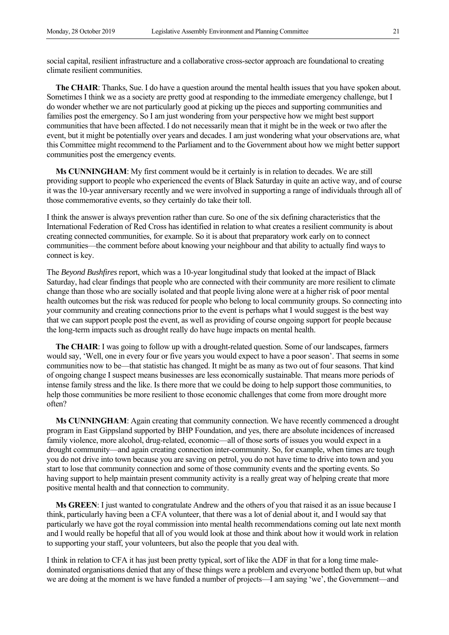social capital, resilient infrastructure and a collaborative cross-sector approach are foundational to creating climate resilient communities.

**The CHAIR**: Thanks, Sue. I do have a question around the mental health issues that you have spoken about. Sometimes I think we as a society are pretty good at responding to the immediate emergency challenge, but I do wonder whether we are not particularly good at picking up the pieces and supporting communities and families post the emergency. So I am just wondering from your perspective how we might best support communities that have been affected. I do not necessarily mean that it might be in the week or two after the event, but it might be potentially over years and decades. I am just wondering what your observations are, what this Committee might recommend to the Parliament and to the Government about how we might better support communities post the emergency events.

**Ms CUNNINGHAM**: My first comment would be it certainly is in relation to decades. We are still providing support to people who experienced the events of Black Saturday in quite an active way, and of course it was the 10-year anniversary recently and we were involved in supporting a range of individuals through all of those commemorative events, so they certainly do take their toll.

I think the answer is always prevention rather than cure. So one of the six defining characteristics that the International Federation of Red Cross has identified in relation to what creates a resilient community is about creating connected communities, for example. So it is about that preparatory work early on to connect communities—the comment before about knowing your neighbour and that ability to actually find ways to connect is key.

The *Beyond Bushfires* report, which was a 10-year longitudinal study that looked at the impact of Black Saturday, had clear findings that people who are connected with their community are more resilient to climate change than those who are socially isolated and that people living alone were at a higher risk of poor mental health outcomes but the risk was reduced for people who belong to local community groups. So connecting into your community and creating connections prior to the event is perhaps what I would suggest is the best way that we can support people post the event, as well as providing of course ongoing support for people because the long-term impacts such as drought really do have huge impacts on mental health.

**The CHAIR**: I was going to follow up with a drought-related question. Some of our landscapes, farmers would say, 'Well, one in every four or five years you would expect to have a poor season'. That seems in some communities now to be—that statistic has changed. It might be as many as two out of four seasons. That kind of ongoing change I suspect means businesses are less economically sustainable. That means more periods of intense family stress and the like. Is there more that we could be doing to help support those communities, to help those communities be more resilient to those economic challenges that come from more drought more often?

**Ms CUNNINGHAM**: Again creating that community connection. We have recently commenced a drought program in East Gippsland supported by BHP Foundation, and yes, there are absolute incidences of increased family violence, more alcohol, drug-related, economic—all of those sorts of issues you would expect in a drought community—and again creating connection inter-community. So, for example, when times are tough you do not drive into town because you are saving on petrol, you do not have time to drive into town and you start to lose that community connection and some of those community events and the sporting events. So having support to help maintain present community activity is a really great way of helping create that more positive mental health and that connection to community.

**Ms GREEN**: I just wanted to congratulate Andrew and the others of you that raised it as an issue because I think, particularly having been a CFA volunteer, that there was a lot of denial about it, and I would say that particularly we have got the royal commission into mental health recommendations coming out late next month and I would really be hopeful that all of you would look at those and think about how it would work in relation to supporting your staff, your volunteers, but also the people that you deal with.

I think in relation to CFA it has just been pretty typical, sort of like the ADF in that for a long time maledominated organisations denied that any of these things were a problem and everyone bottled them up, but what we are doing at the moment is we have funded a number of projects—I am saying 'we', the Government—and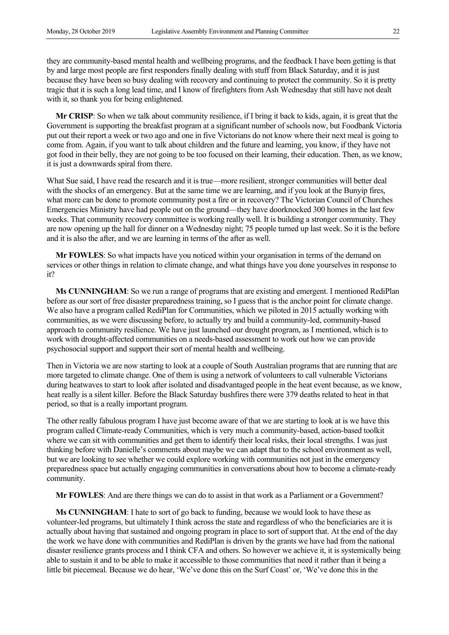they are community-based mental health and wellbeing programs, and the feedback I have been getting is that by and large most people are first responders finally dealing with stuff from Black Saturday, and it is just because they have been so busy dealing with recovery and continuing to protect the community. So it is pretty tragic that it is such a long lead time, and I know of firefighters from Ash Wednesday that still have not dealt with it, so thank you for being enlightened.

**Mr CRISP**: So when we talk about community resilience, if I bring it back to kids, again, it is great that the Government is supporting the breakfast program at a significant number of schools now, but Foodbank Victoria put out their report a week or two ago and one in five Victorians do not know where their next meal is going to come from. Again, if you want to talk about children and the future and learning, you know, if they have not got food in their belly, they are not going to be too focused on their learning, their education. Then, as we know, it is just a downwards spiral from there.

What Sue said, I have read the research and it is true—more resilient, stronger communities will better deal with the shocks of an emergency. But at the same time we are learning, and if you look at the Bunyip fires, what more can be done to promote community post a fire or in recovery? The Victorian Council of Churches Emergencies Ministry have had people out on the ground—they have doorknocked 300 homes in the last few weeks. That community recovery committee is working really well. It is building a stronger community. They are now opening up the hall for dinner on a Wednesday night; 75 people turned up last week. So it is the before and it is also the after, and we are learning in terms of the after as well.

**Mr FOWLES**: So what impacts have you noticed within your organisation in terms of the demand on services or other things in relation to climate change, and what things have you done yourselves in response to it?

**Ms CUNNINGHAM**: So we run a range of programs that are existing and emergent. I mentioned RediPlan before as our sort of free disaster preparedness training, so I guess that is the anchor point for climate change. We also have a program called RediPlan for Communities, which we piloted in 2015 actually working with communities, as we were discussing before, to actually try and build a community-led, community-based approach to community resilience. We have just launched our drought program, as I mentioned, which is to work with drought-affected communities on a needs-based assessment to work out how we can provide psychosocial support and support their sort of mental health and wellbeing.

Then in Victoria we are now starting to look at a couple of South Australian programs that are running that are more targeted to climate change. One of them is using a network of volunteers to call vulnerable Victorians during heatwaves to start to look after isolated and disadvantaged people in the heat event because, as we know, heat really is a silent killer. Before the Black Saturday bushfires there were 379 deaths related to heat in that period, so that is a really important program.

The other really fabulous program I have just become aware of that we are starting to look at is we have this program called Climate-ready Communities, which is very much a community-based, action-based toolkit where we can sit with communities and get them to identify their local risks, their local strengths. I was just thinking before with Danielle's comments about maybe we can adapt that to the school environment as well, but we are looking to see whether we could explore working with communities not just in the emergency preparedness space but actually engaging communities in conversations about how to become a climate-ready community.

**Mr FOWLES**: And are there things we can do to assist in that work as a Parliament or a Government?

**Ms CUNNINGHAM**: I hate to sort of go back to funding, because we would look to have these as volunteer-led programs, but ultimately I think across the state and regardless of who the beneficiaries are it is actually about having that sustained and ongoing program in place to sort of support that. At the end of the day the work we have done with communities and RediPlan is driven by the grants we have had from the national disaster resilience grants process and I think CFA and others. So however we achieve it, it is systemically being able to sustain it and to be able to make it accessible to those communities that need it rather than it being a little bit piecemeal. Because we do hear, 'We've done this on the Surf Coast' or, 'We've done this in the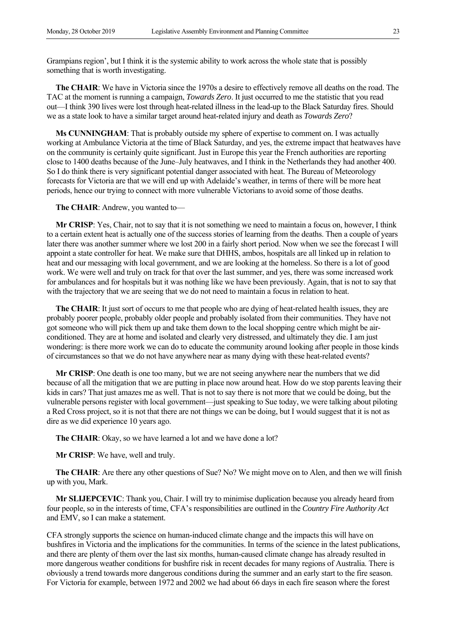Grampians region', but I think it is the systemic ability to work across the whole state that is possibly something that is worth investigating.

**The CHAIR**: We have in Victoria since the 1970s a desire to effectively remove all deaths on the road. The TAC at the moment is running a campaign, *Towards Zero*. It just occurred to me the statistic that you read out—I think 390 lives were lost through heat-related illness in the lead-up to the Black Saturday fires. Should we as a state look to have a similar target around heat-related injury and death as *Towards Zero*?

**Ms CUNNINGHAM**: That is probably outside my sphere of expertise to comment on. I was actually working at Ambulance Victoria at the time of Black Saturday, and yes, the extreme impact that heatwaves have on the community is certainly quite significant. Just in Europe this year the French authorities are reporting close to 1400 deaths because of the June–July heatwaves, and I think in the Netherlands they had another 400. So I do think there is very significant potential danger associated with heat. The Bureau of Meteorology forecasts for Victoria are that we will end up with Adelaide's weather, in terms of there will be more heat periods, hence our trying to connect with more vulnerable Victorians to avoid some of those deaths.

**The CHAIR**: Andrew, you wanted to—

**Mr CRISP**: Yes, Chair, not to say that it is not something we need to maintain a focus on, however, I think to a certain extent heat is actually one of the success stories of learning from the deaths. Then a couple of years later there was another summer where we lost 200 in a fairly short period. Now when we see the forecast I will appoint a state controller for heat. We make sure that DHHS, ambos, hospitals are all linked up in relation to heat and our messaging with local government, and we are looking at the homeless. So there is a lot of good work. We were well and truly on track for that over the last summer, and yes, there was some increased work for ambulances and for hospitals but it was nothing like we have been previously. Again, that is not to say that with the trajectory that we are seeing that we do not need to maintain a focus in relation to heat.

**The CHAIR**: It just sort of occurs to me that people who are dying of heat-related health issues, they are probably poorer people, probably older people and probably isolated from their communities. They have not got someone who will pick them up and take them down to the local shopping centre which might be airconditioned. They are at home and isolated and clearly very distressed, and ultimately they die. I am just wondering: is there more work we can do to educate the community around looking after people in those kinds of circumstances so that we do not have anywhere near as many dying with these heat-related events?

**Mr CRISP**: One death is one too many, but we are not seeing anywhere near the numbers that we did because of all the mitigation that we are putting in place now around heat. How do we stop parents leaving their kids in cars? That just amazes me as well. That is not to say there is not more that we could be doing, but the vulnerable persons register with local government—just speaking to Sue today, we were talking about piloting a Red Cross project, so it is not that there are not things we can be doing, but I would suggest that it is not as dire as we did experience 10 years ago.

**The CHAIR**: Okay, so we have learned a lot and we have done a lot?

**Mr CRISP**: We have, well and truly.

**The CHAIR**: Are there any other questions of Sue? No? We might move on to Alen, and then we will finish up with you, Mark.

**Mr SLIJEPCEVIC**: Thank you, Chair. I will try to minimise duplication because you already heard from four people, so in the interests of time, CFA's responsibilities are outlined in the *Country Fire Authority Act* and EMV, so I can make a statement.

CFA strongly supports the science on human-induced climate change and the impacts this will have on bushfires in Victoria and the implications for the communities. In terms of the science in the latest publications, and there are plenty of them over the last six months, human-caused climate change has already resulted in more dangerous weather conditions for bushfire risk in recent decades for many regions of Australia. There is obviously a trend towards more dangerous conditions during the summer and an early start to the fire season. For Victoria for example, between 1972 and 2002 we had about 66 days in each fire season where the forest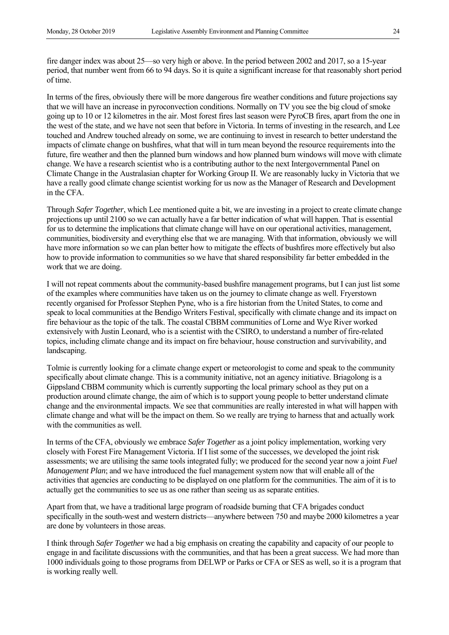fire danger index was about 25—so very high or above. In the period between 2002 and 2017, so a 15-year period, that number went from 66 to 94 days. So it is quite a significant increase for that reasonably short period of time.

In terms of the fires, obviously there will be more dangerous fire weather conditions and future projections say that we will have an increase in pyroconvection conditions. Normally on TV you see the big cloud of smoke going up to 10 or 12 kilometres in the air. Most forest fires last season were PyroCB fires, apart from the one in the west of the state, and we have not seen that before in Victoria. In terms of investing in the research, and Lee touched and Andrew touched already on some, we are continuing to invest in research to better understand the impacts of climate change on bushfires, what that will in turn mean beyond the resource requirements into the future, fire weather and then the planned burn windows and how planned burn windows will move with climate change. We have a research scientist who is a contributing author to the next Intergovernmental Panel on Climate Change in the Australasian chapter for Working Group II. We are reasonably lucky in Victoria that we have a really good climate change scientist working for us now as the Manager of Research and Development in the CFA.

Through *Safer Together*, which Lee mentioned quite a bit, we are investing in a project to create climate change projections up until 2100 so we can actually have a far better indication of what will happen. That is essential for us to determine the implications that climate change will have on our operational activities, management, communities, biodiversity and everything else that we are managing. With that information, obviously we will have more information so we can plan better how to mitigate the effects of bushfires more effectively but also how to provide information to communities so we have that shared responsibility far better embedded in the work that we are doing.

I will not repeat comments about the community-based bushfire management programs, but I can just list some of the examples where communities have taken us on the journey to climate change as well. Fryerstown recently organised for Professor Stephen Pyne, who is a fire historian from the United States, to come and speak to local communities at the Bendigo Writers Festival, specifically with climate change and its impact on fire behaviour as the topic of the talk. The coastal CBBM communities of Lorne and Wye River worked extensively with Justin Leonard, who is a scientist with the CSIRO, to understand a number of fire-related topics, including climate change and its impact on fire behaviour, house construction and survivability, and landscaping.

Tolmie is currently looking for a climate change expert or meteorologist to come and speak to the community specifically about climate change. This is a community initiative, not an agency initiative. Briagolong is a Gippsland CBBM community which is currently supporting the local primary school as they put on a production around climate change, the aim of which is to support young people to better understand climate change and the environmental impacts. We see that communities are really interested in what will happen with climate change and what will be the impact on them. So we really are trying to harness that and actually work with the communities as well.

In terms of the CFA, obviously we embrace *Safer Together* as a joint policy implementation, working very closely with Forest Fire Management Victoria. If I list some of the successes, we developed the joint risk assessments; we are utilising the same tools integrated fully; we produced for the second year now a joint *Fuel Management Plan*; and we have introduced the fuel management system now that will enable all of the activities that agencies are conducting to be displayed on one platform for the communities. The aim of it is to actually get the communities to see us as one rather than seeing us as separate entities.

Apart from that, we have a traditional large program of roadside burning that CFA brigades conduct specifically in the south-west and western districts—anywhere between 750 and maybe 2000 kilometres a year are done by volunteers in those areas.

I think through *Safer Together* we had a big emphasis on creating the capability and capacity of our people to engage in and facilitate discussions with the communities, and that has been a great success. We had more than 1000 individuals going to those programs from DELWP or Parks or CFA or SES as well, so it is a program that is working really well.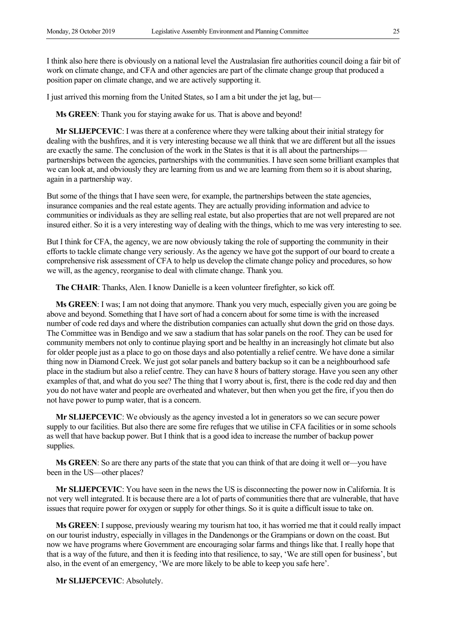I think also here there is obviously on a national level the Australasian fire authorities council doing a fair bit of work on climate change, and CFA and other agencies are part of the climate change group that produced a position paper on climate change, and we are actively supporting it.

I just arrived this morning from the United States, so I am a bit under the jet lag, but—

**Ms GREEN**: Thank you for staying awake for us. That is above and beyond!

**Mr SLIJEPCEVIC**: I was there at a conference where they were talking about their initial strategy for dealing with the bushfires, and it is very interesting because we all think that we are different but all the issues are exactly the same. The conclusion of the work in the States is that it is all about the partnerships partnerships between the agencies, partnerships with the communities. I have seen some brilliant examples that we can look at, and obviously they are learning from us and we are learning from them so it is about sharing, again in a partnership way.

But some of the things that I have seen were, for example, the partnerships between the state agencies, insurance companies and the real estate agents. They are actually providing information and advice to communities or individuals as they are selling real estate, but also properties that are not well prepared are not insured either. So it is a very interesting way of dealing with the things, which to me was very interesting to see.

But I think for CFA, the agency, we are now obviously taking the role of supporting the community in their efforts to tackle climate change very seriously. As the agency we have got the support of our board to create a comprehensive risk assessment of CFA to help us develop the climate change policy and procedures, so how we will, as the agency, reorganise to deal with climate change. Thank you.

**The CHAIR**: Thanks, Alen. I know Danielle is a keen volunteer firefighter, so kick off.

**Ms GREEN**: I was; I am not doing that anymore. Thank you very much, especially given you are going be above and beyond. Something that I have sort of had a concern about for some time is with the increased number of code red days and where the distribution companies can actually shut down the grid on those days. The Committee was in Bendigo and we saw a stadium that has solar panels on the roof. They can be used for community members not only to continue playing sport and be healthy in an increasingly hot climate but also for older people just as a place to go on those days and also potentially a relief centre. We have done a similar thing now in Diamond Creek. We just got solar panels and battery backup so it can be a neighbourhood safe place in the stadium but also a relief centre. They can have 8 hours of battery storage. Have you seen any other examples of that, and what do you see? The thing that I worry about is, first, there is the code red day and then you do not have water and people are overheated and whatever, but then when you get the fire, if you then do not have power to pump water, that is a concern.

**Mr SLIJEPCEVIC**: We obviously as the agency invested a lot in generators so we can secure power supply to our facilities. But also there are some fire refuges that we utilise in CFA facilities or in some schools as well that have backup power. But I think that is a good idea to increase the number of backup power supplies.

**Ms GREEN**: So are there any parts of the state that you can think of that are doing it well or—you have been in the US—other places?

**Mr SLIJEPCEVIC**: You have seen in the news the US is disconnecting the power now in California. It is not very well integrated. It is because there are a lot of parts of communities there that are vulnerable, that have issues that require power for oxygen or supply for other things. So it is quite a difficult issue to take on.

**Ms GREEN**: I suppose, previously wearing my tourism hat too, it has worried me that it could really impact on our tourist industry, especially in villages in the Dandenongs or the Grampians or down on the coast. But now we have programs where Government are encouraging solar farms and things like that. I really hope that that is a way of the future, and then it is feeding into that resilience, to say, 'We are still open for business', but also, in the event of an emergency, 'We are more likely to be able to keep you safe here'.

**Mr SLIJEPCEVIC**: Absolutely.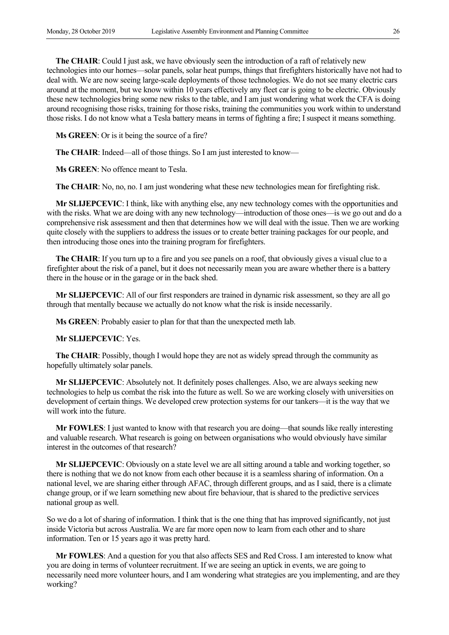**The CHAIR**: Could I just ask, we have obviously seen the introduction of a raft of relatively new technologies into our homes—solar panels, solar heat pumps, things that firefighters historically have not had to deal with. We are now seeing large-scale deployments of those technologies. We do not see many electric cars around at the moment, but we know within 10 years effectively any fleet car is going to be electric. Obviously these new technologies bring some new risks to the table, and I am just wondering what work the CFA is doing around recognising those risks, training for those risks, training the communities you work within to understand those risks. I do not know what a Tesla battery means in terms of fighting a fire; I suspect it means something.

**Ms GREEN**: Or is it being the source of a fire?

**The CHAIR**: Indeed—all of those things. So I am just interested to know—

**Ms GREEN**: No offence meant to Tesla.

**The CHAIR**: No, no, no. I am just wondering what these new technologies mean for firefighting risk.

**Mr SLIJEPCEVIC**: I think, like with anything else, any new technology comes with the opportunities and with the risks. What we are doing with any new technology—introduction of those ones—is we go out and do a comprehensive risk assessment and then that determines how we will deal with the issue. Then we are working quite closely with the suppliers to address the issues or to create better training packages for our people, and then introducing those ones into the training program for firefighters.

**The CHAIR**: If you turn up to a fire and you see panels on a roof, that obviously gives a visual clue to a firefighter about the risk of a panel, but it does not necessarily mean you are aware whether there is a battery there in the house or in the garage or in the back shed.

**Mr SLIJEPCEVIC**: All of our first responders are trained in dynamic risk assessment, so they are all go through that mentally because we actually do not know what the risk is inside necessarily.

**Ms GREEN**: Probably easier to plan for that than the unexpected meth lab.

**Mr SLIJEPCEVIC**: Yes.

**The CHAIR**: Possibly, though I would hope they are not as widely spread through the community as hopefully ultimately solar panels.

**Mr SLIJEPCEVIC**: Absolutely not. It definitely poses challenges. Also, we are always seeking new technologies to help us combat the risk into the future as well. So we are working closely with universities on development of certain things. We developed crew protection systems for our tankers—it is the way that we will work into the future.

**Mr FOWLES**: I just wanted to know with that research you are doing—that sounds like really interesting and valuable research. What research is going on between organisations who would obviously have similar interest in the outcomes of that research?

**Mr SLIJEPCEVIC**: Obviously on a state level we are all sitting around a table and working together, so there is nothing that we do not know from each other because it is a seamless sharing of information. On a national level, we are sharing either through AFAC, through different groups, and as I said, there is a climate change group, or if we learn something new about fire behaviour, that is shared to the predictive services national group as well.

So we do a lot of sharing of information. I think that is the one thing that has improved significantly, not just inside Victoria but across Australia. We are far more open now to learn from each other and to share information. Ten or 15 years ago it was pretty hard.

**Mr FOWLES**: And a question for you that also affects SES and Red Cross. I am interested to know what you are doing in terms of volunteer recruitment. If we are seeing an uptick in events, we are going to necessarily need more volunteer hours, and I am wondering what strategies are you implementing, and are they working?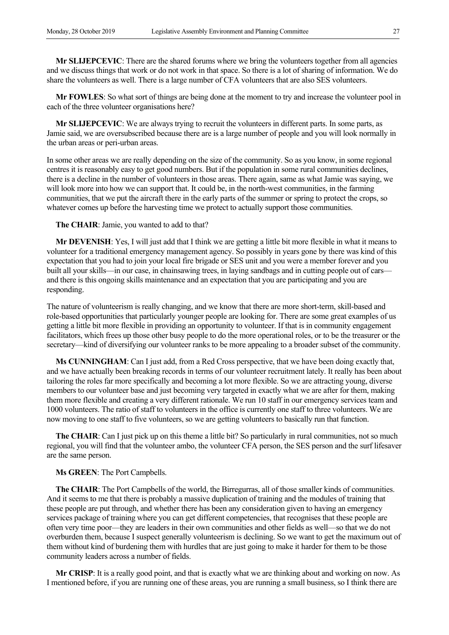**Mr SLIJEPCEVIC**: There are the shared forums where we bring the volunteers together from all agencies and we discuss things that work or do not work in that space. So there is a lot of sharing of information. We do share the volunteers as well. There is a large number of CFA volunteers that are also SES volunteers.

**Mr FOWLES**: So what sort of things are being done at the moment to try and increase the volunteer pool in each of the three volunteer organisations here?

**Mr SLIJEPCEVIC**: We are always trying to recruit the volunteers in different parts. In some parts, as Jamie said, we are oversubscribed because there are is a large number of people and you will look normally in the urban areas or peri-urban areas.

In some other areas we are really depending on the size of the community. So as you know, in some regional centres it is reasonably easy to get good numbers. But if the population in some rural communities declines, there is a decline in the number of volunteers in those areas. There again, same as what Jamie was saying, we will look more into how we can support that. It could be, in the north-west communities, in the farming communities, that we put the aircraft there in the early parts of the summer or spring to protect the crops, so whatever comes up before the harvesting time we protect to actually support those communities.

**The CHAIR**: Jamie, you wanted to add to that?

**Mr DEVENISH**: Yes, I will just add that I think we are getting a little bit more flexible in what it means to volunteer for a traditional emergency management agency. So possibly in years gone by there was kind of this expectation that you had to join your local fire brigade or SES unit and you were a member forever and you built all your skills—in our case, in chainsawing trees, in laying sandbags and in cutting people out of carsand there is this ongoing skills maintenance and an expectation that you are participating and you are responding.

The nature of volunteerism is really changing, and we know that there are more short-term, skill-based and role-based opportunities that particularly younger people are looking for. There are some great examples of us getting a little bit more flexible in providing an opportunity to volunteer. If that is in community engagement facilitators, which frees up those other busy people to do the more operational roles, or to be the treasurer or the secretary—kind of diversifying our volunteer ranks to be more appealing to a broader subset of the community.

**Ms CUNNINGHAM**: Can I just add, from a Red Cross perspective, that we have been doing exactly that, and we have actually been breaking records in terms of our volunteer recruitment lately. It really has been about tailoring the roles far more specifically and becoming a lot more flexible. So we are attracting young, diverse members to our volunteer base and just becoming very targeted in exactly what we are after for them, making them more flexible and creating a very different rationale. We run 10 staff in our emergency services team and 1000 volunteers. The ratio of staff to volunteers in the office is currently one staff to three volunteers. We are now moving to one staff to five volunteers, so we are getting volunteers to basically run that function.

**The CHAIR:** Can I just pick up on this theme a little bit? So particularly in rural communities, not so much regional, you will find that the volunteer ambo, the volunteer CFA person, the SES person and the surf lifesaver are the same person.

**Ms GREEN**: The Port Campbells.

**The CHAIR**: The Port Campbells of the world, the Birregurras, all of those smaller kinds of communities. And it seems to me that there is probably a massive duplication of training and the modules of training that these people are put through, and whether there has been any consideration given to having an emergency services package of training where you can get different competencies, that recognises that these people are often very time poor—they are leaders in their own communities and other fields as well—so that we do not overburden them, because I suspect generally volunteerism is declining. So we want to get the maximum out of them without kind of burdening them with hurdles that are just going to make it harder for them to be those community leaders across a number of fields.

**Mr CRISP**: It is a really good point, and that is exactly what we are thinking about and working on now. As I mentioned before, if you are running one of these areas, you are running a small business, so I think there are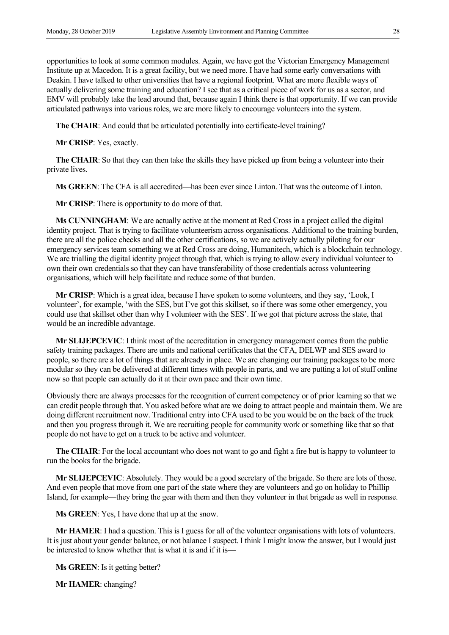opportunities to look at some common modules. Again, we have got the Victorian Emergency Management Institute up at Macedon. It is a great facility, but we need more. I have had some early conversations with Deakin. I have talked to other universities that have a regional footprint. What are more flexible ways of actually delivering some training and education? I see that as a critical piece of work for us as a sector, and EMV will probably take the lead around that, because again I think there is that opportunity. If we can provide articulated pathways into various roles, we are more likely to encourage volunteers into the system.

**The CHAIR**: And could that be articulated potentially into certificate-level training?

**Mr CRISP**: Yes, exactly.

**The CHAIR:** So that they can then take the skills they have picked up from being a volunteer into their private lives.

**Ms GREEN**: The CFA is all accredited—has been ever since Linton. That was the outcome of Linton.

**Mr CRISP**: There is opportunity to do more of that.

**Ms CUNNINGHAM**: We are actually active at the moment at Red Cross in a project called the digital identity project. That is trying to facilitate volunteerism across organisations. Additional to the training burden, there are all the police checks and all the other certifications, so we are actively actually piloting for our emergency services team something we at Red Cross are doing, Humanitech, which is a blockchain technology. We are trialling the digital identity project through that, which is trying to allow every individual volunteer to own their own credentials so that they can have transferability of those credentials across volunteering organisations, which will help facilitate and reduce some of that burden.

**Mr CRISP**: Which is a great idea, because I have spoken to some volunteers, and they say, 'Look, I volunteer', for example, 'with the SES, but I've got this skillset, so if there was some other emergency, you could use that skillset other than why I volunteer with the SES'. If we got that picture across the state, that would be an incredible advantage.

**Mr SLIJEPCEVIC**: I think most of the accreditation in emergency management comes from the public safety training packages. There are units and national certificates that the CFA, DELWP and SES award to people, so there are a lot of things that are already in place. We are changing our training packages to be more modular so they can be delivered at different times with people in parts, and we are putting a lot of stuff online now so that people can actually do it at their own pace and their own time.

Obviously there are always processes for the recognition of current competency or of prior learning so that we can credit people through that. You asked before what are we doing to attract people and maintain them. We are doing different recruitment now. Traditional entry into CFA used to be you would be on the back of the truck and then you progress through it. We are recruiting people for community work or something like that so that people do not have to get on a truck to be active and volunteer.

**The CHAIR**: For the local accountant who does not want to go and fight a fire but is happy to volunteer to run the books for the brigade.

**Mr SLIJEPCEVIC**: Absolutely. They would be a good secretary of the brigade. So there are lots of those. And even people that move from one part of the state where they are volunteers and go on holiday to Phillip Island, for example—they bring the gear with them and then they volunteer in that brigade as well in response.

**Ms GREEN**: Yes, I have done that up at the snow.

**Mr HAMER**: I had a question. This is I guess for all of the volunteer organisations with lots of volunteers. It is just about your gender balance, or not balance I suspect. I think I might know the answer, but I would just be interested to know whether that is what it is and if it is—

**Ms GREEN**: Is it getting better?

**Mr HAMER**: changing?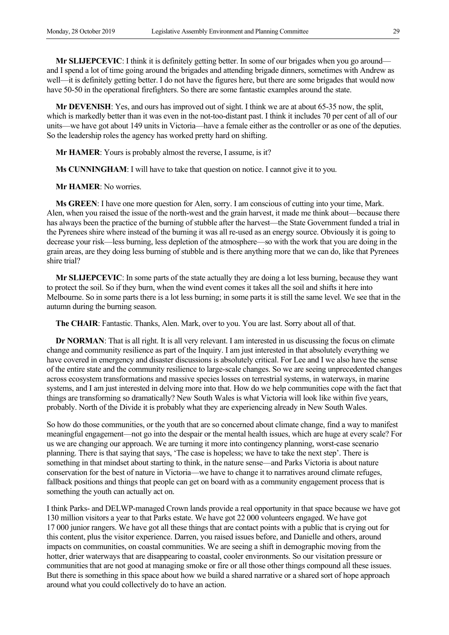**Mr SLIJEPCEVIC**: I think it is definitely getting better. In some of our brigades when you go around and I spend a lot of time going around the brigades and attending brigade dinners, sometimes with Andrew as well—it is definitely getting better. I do not have the figures here, but there are some brigades that would now have 50-50 in the operational firefighters. So there are some fantastic examples around the state.

**Mr DEVENISH**: Yes, and ours has improved out of sight. I think we are at about 65-35 now, the split, which is markedly better than it was even in the not-too-distant past. I think it includes 70 per cent of all of our units—we have got about 149 units in Victoria—have a female either as the controller or as one of the deputies. So the leadership roles the agency has worked pretty hard on shifting.

**Mr HAMER**: Yours is probably almost the reverse, I assume, is it?

**Ms CUNNINGHAM**: I will have to take that question on notice. I cannot give it to you.

**Mr HAMER**: No worries.

**Ms GREEN**: I have one more question for Alen, sorry. I am conscious of cutting into your time, Mark. Alen, when you raised the issue of the north-west and the grain harvest, it made me think about—because there has always been the practice of the burning of stubble after the harvest—the State Government funded a trial in the Pyrenees shire where instead of the burning it was all re-used as an energy source. Obviously it is going to decrease your risk—less burning, less depletion of the atmosphere—so with the work that you are doing in the grain areas, are they doing less burning of stubble and is there anything more that we can do, like that Pyrenees shire trial?

**Mr SLIJEPCEVIC**: In some parts of the state actually they are doing a lot less burning, because they want to protect the soil. So if they burn, when the wind event comes it takes all the soil and shifts it here into Melbourne. So in some parts there is a lot less burning; in some parts it is still the same level. We see that in the autumn during the burning season.

**The CHAIR**: Fantastic. Thanks, Alen. Mark, over to you. You are last. Sorry about all of that.

**Dr NORMAN:** That is all right. It is all very relevant. I am interested in us discussing the focus on climate change and community resilience as part of the Inquiry. I am just interested in that absolutely everything we have covered in emergency and disaster discussions is absolutely critical. For Lee and I we also have the sense of the entire state and the community resilience to large-scale changes. So we are seeing unprecedented changes across ecosystem transformations and massive species losses on terrestrial systems, in waterways, in marine systems, and I am just interested in delving more into that. How do we help communities cope with the fact that things are transforming so dramatically? New South Wales is what Victoria will look like within five years, probably. North of the Divide it is probably what they are experiencing already in New South Wales.

So how do those communities, or the youth that are so concerned about climate change, find a way to manifest meaningful engagement—not go into the despair or the mental health issues, which are huge at every scale? For us we are changing our approach. We are turning it more into contingency planning, worst-case scenario planning. There is that saying that says, 'The case is hopeless; we have to take the next step'. There is something in that mindset about starting to think, in the nature sense—and Parks Victoria is about nature conservation for the best of nature in Victoria—we have to change it to narratives around climate refuges, fallback positions and things that people can get on board with as a community engagement process that is something the youth can actually act on.

I think Parks- and DELWP-managed Crown lands provide a real opportunity in that space because we have got 130 million visitors a year to that Parks estate. We have got 22 000 volunteers engaged. We have got 17 000 junior rangers. We have got all these things that are contact points with a public that is crying out for this content, plus the visitor experience. Darren, you raised issues before, and Danielle and others, around impacts on communities, on coastal communities. We are seeing a shift in demographic moving from the hotter, drier waterways that are disappearing to coastal, cooler environments. So our visitation pressure or communities that are not good at managing smoke or fire or all those other things compound all these issues. But there is something in this space about how we build a shared narrative or a shared sort of hope approach around what you could collectively do to have an action.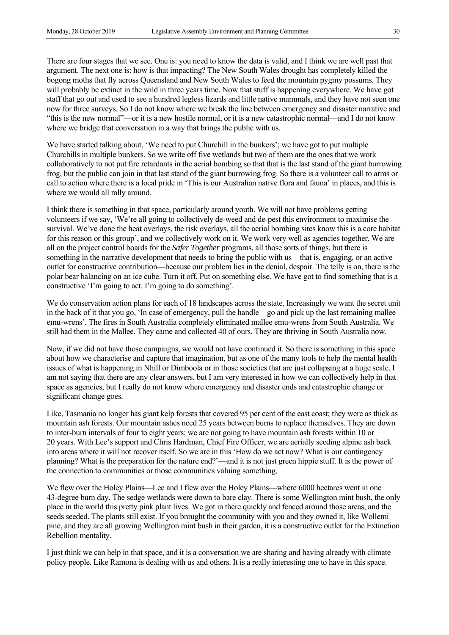There are four stages that we see. One is: you need to know the data is valid, and I think we are well past that argument. The next one is: how is that impacting? The New South Wales drought has completely killed the bogong moths that fly across Queensland and New South Wales to feed the mountain pygmy possums. They will probably be extinct in the wild in three years time. Now that stuff is happening everywhere. We have got staff that go out and used to see a hundred legless lizards and little native mammals, and they have not seen one now for three surveys. So I do not know where we break the line between emergency and disaster narrative and "this is the new normal"—or it is a new hostile normal, or it is a new catastrophic normal—and I do not know where we bridge that conversation in a way that brings the public with us.

We have started talking about, 'We need to put Churchill in the bunkers'; we have got to put multiple Churchills in multiple bunkers. So we write off five wetlands but two of them are the ones that we work collaboratively to not put fire retardants in the aerial bombing so that that is the last stand of the giant burrowing frog, but the public can join in that last stand of the giant burrowing frog. So there is a volunteer call to arms or call to action where there is a local pride in 'This is our Australian native flora and fauna' in places, and this is where we would all rally around.

I think there is something in that space, particularly around youth. We will not have problems getting volunteers if we say, 'We're all going to collectively de-weed and de-pest this environment to maximise the survival. We've done the heat overlays, the risk overlays, all the aerial bombing sites know this is a core habitat for this reason or this group', and we collectively work on it. We work very well as agencies together. We are all on the project control boards for the *Safer Together* programs, all those sorts of things, but there is something in the narrative development that needs to bring the public with us—that is, engaging, or an active outlet for constructive contribution—because our problem lies in the denial, despair. The telly is on, there is the polar bear balancing on an ice cube. Turn it off. Put on something else. We have got to find something that is a constructive 'I'm going to act. I'm going to do something'.

We do conservation action plans for each of 18 landscapes across the state. Increasingly we want the secret unit in the back of it that you go, 'In case of emergency, pull the handle—go and pick up the last remaining mallee emu-wrens'. The fires in South Australia completely eliminated mallee emu-wrens from South Australia. We still had them in the Mallee. They came and collected 40 of ours. They are thriving in South Australia now.

Now, if we did not have those campaigns, we would not have continued it. So there is something in this space about how we characterise and capture that imagination, but as one of the many tools to help the mental health issues of what is happening in Nhill or Dimboola or in those societies that are just collapsing at a huge scale. I am not saying that there are any clear answers, but I am very interested in how we can collectively help in that space as agencies, but I really do not know where emergency and disaster ends and catastrophic change or significant change goes.

Like, Tasmania no longer has giant kelp forests that covered 95 per cent of the east coast; they were as thick as mountain ash forests. Our mountain ashes need 25 years between burns to replace themselves. They are down to inter-burn intervals of four to eight years; we are not going to have mountain ash forests within 10 or 20 years. With Lee's support and Chris Hardman, Chief Fire Officer, we are aerially seeding alpine ash back into areas where it will not recover itself. So we are in this 'How do we act now? What is our contingency planning? What is the preparation for the nature end?'—and it is not just green hippie stuff. It is the power of the connection to communities or those communities valuing something.

We flew over the Holey Plains—Lee and I flew over the Holey Plains—where 6000 hectares went in one 43-degree burn day. The sedge wetlands were down to bare clay. There is some Wellington mint bush, the only place in the world this pretty pink plant lives. We got in there quickly and fenced around those areas, and the seeds seeded. The plants still exist. If you brought the community with you and they owned it, like Wollemi pine, and they are all growing Wellington mint bush in their garden, it is a constructive outlet for the Extinction Rebellion mentality.

I just think we can help in that space, and it is a conversation we are sharing and having already with climate policy people. Like Ramona is dealing with us and others. It is a really interesting one to have in this space.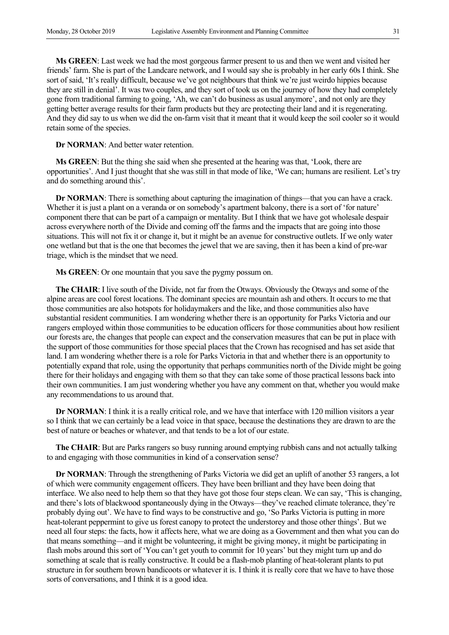**Ms GREEN**: Last week we had the most gorgeous farmer present to us and then we went and visited her friends' farm. She is part of the Landcare network, and I would say she is probably in her early 60s I think. She sort of said, 'It's really difficult, because we've got neighbours that think we're just weirdo hippies because they are still in denial'. It was two couples, and they sort of took us on the journey of how they had completely gone from traditional farming to going, 'Ah, we can't do business as usual anymore', and not only are they getting better average results for their farm products but they are protecting their land and it is regenerating. And they did say to us when we did the on-farm visit that it meant that it would keep the soil cooler so it would retain some of the species.

**Dr NORMAN**: And better water retention.

**Ms GREEN**: But the thing she said when she presented at the hearing was that, 'Look, there are opportunities'. And I just thought that she was still in that mode of like, 'We can; humans are resilient. Let's try and do something around this'.

**Dr NORMAN**: There is something about capturing the imagination of things—that you can have a crack. Whether it is just a plant on a veranda or on somebody's apartment balcony, there is a sort of 'for nature' component there that can be part of a campaign or mentality. But I think that we have got wholesale despair across everywhere north of the Divide and coming off the farms and the impacts that are going into those situations. This will not fix it or change it, but it might be an avenue for constructive outlets. If we only water one wetland but that is the one that becomes the jewel that we are saving, then it has been a kind of pre-war triage, which is the mindset that we need.

**Ms GREEN**: Or one mountain that you save the pygmy possum on.

**The CHAIR**: I live south of the Divide, not far from the Otways. Obviously the Otways and some of the alpine areas are cool forest locations. The dominant species are mountain ash and others. It occurs to me that those communities are also hotspots for holidaymakers and the like, and those communities also have substantial resident communities. I am wondering whether there is an opportunity for Parks Victoria and our rangers employed within those communities to be education officers for those communities about how resilient our forests are, the changes that people can expect and the conservation measures that can be put in place with the support of those communities for those special places that the Crown has recognised and has set aside that land. I am wondering whether there is a role for Parks Victoria in that and whether there is an opportunity to potentially expand that role, using the opportunity that perhaps communities north of the Divide might be going there for their holidays and engaging with them so that they can take some of those practical lessons back into their own communities. I am just wondering whether you have any comment on that, whether you would make any recommendations to us around that.

**Dr NORMAN**: I think it is a really critical role, and we have that interface with 120 million visitors a year so I think that we can certainly be a lead voice in that space, because the destinations they are drawn to are the best of nature or beaches or whatever, and that tends to be a lot of our estate.

**The CHAIR**: But are Parks rangers so busy running around emptying rubbish cans and not actually talking to and engaging with those communities in kind of a conservation sense?

**Dr NORMAN**: Through the strengthening of Parks Victoria we did get an uplift of another 53 rangers, a lot of which were community engagement officers. They have been brilliant and they have been doing that interface. We also need to help them so that they have got those four steps clean. We can say, 'This is changing, and there's lots of blackwood spontaneously dying in the Otways—they've reached climate tolerance, they're probably dying out'. We have to find ways to be constructive and go, 'So Parks Victoria is putting in more heat-tolerant peppermint to give us forest canopy to protect the understorey and those other things'. But we need all four steps: the facts, how it affects here, what we are doing as a Government and then what you can do that means something—and it might be volunteering, it might be giving money, it might be participating in flash mobs around this sort of 'You can't get youth to commit for 10 years' but they might turn up and do something at scale that is really constructive. It could be a flash-mob planting of heat-tolerant plants to put structure in for southern brown bandicoots or whatever it is. I think it is really core that we have to have those sorts of conversations, and I think it is a good idea.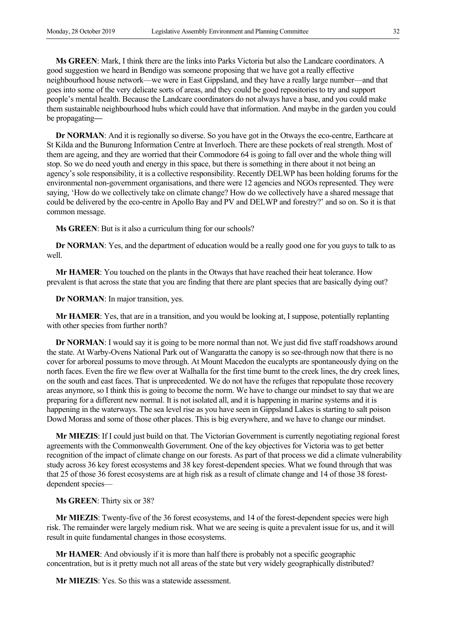**Ms GREEN**: Mark, I think there are the links into Parks Victoria but also the Landcare coordinators. A good suggestion we heard in Bendigo was someone proposing that we have got a really effective neighbourhood house network—we were in East Gippsland, and they have a really large number—and that goes into some of the very delicate sorts of areas, and they could be good repositories to try and support people's mental health. Because the Landcare coordinators do not always have a base, and you could make them sustainable neighbourhood hubs which could have that information. And maybe in the garden you could be propagating**—**

**Dr NORMAN**: And it is regionally so diverse. So you have got in the Otways the eco-centre, Earthcare at St Kilda and the Bunurong Information Centre at Inverloch. There are these pockets of real strength. Most of them are ageing, and they are worried that their Commodore 64 is going to fall over and the whole thing will stop. So we do need youth and energy in this space, but there is something in there about it not being an agency's sole responsibility, it is a collective responsibility. Recently DELWP has been holding forums for the environmental non-government organisations, and there were 12 agencies and NGOs represented. They were saying, 'How do we collectively take on climate change? How do we collectively have a shared message that could be delivered by the eco-centre in Apollo Bay and PV and DELWP and forestry?' and so on. So it is that common message.

**Ms GREEN**: But is it also a curriculum thing for our schools?

**Dr NORMAN**: Yes, and the department of education would be a really good one for you guys to talk to as well.

**Mr HAMER**: You touched on the plants in the Otways that have reached their heat tolerance. How prevalent is that across the state that you are finding that there are plant species that are basically dying out?

**Dr NORMAN**: In major transition, yes.

**Mr HAMER**: Yes, that are in a transition, and you would be looking at, I suppose, potentially replanting with other species from further north?

**Dr NORMAN**: I would say it is going to be more normal than not. We just did five staff roadshows around the state. At Warby-Ovens National Park out of Wangaratta the canopy is so see-through now that there is no cover for arboreal possums to move through. At Mount Macedon the eucalypts are spontaneously dying on the north faces. Even the fire we flew over at Walhalla for the first time burnt to the creek lines, the dry creek lines, on the south and east faces. That is unprecedented. We do not have the refuges that repopulate those recovery areas anymore, so I think this is going to become the norm. We have to change our mindset to say that we are preparing for a different new normal. It is not isolated all, and it is happening in marine systems and it is happening in the waterways. The sea level rise as you have seen in Gippsland Lakes is starting to salt poison Dowd Morass and some of those other places. This is big everywhere, and we have to change our mindset.

**Mr MIEZIS**: If I could just build on that. The Victorian Government is currently negotiating regional forest agreements with the Commonwealth Government. One of the key objectives for Victoria was to get better recognition of the impact of climate change on our forests. As part of that process we did a climate vulnerability study across 36 key forest ecosystems and 38 key forest-dependent species. What we found through that was that 25 of those 36 forest ecosystems are at high risk as a result of climate change and 14 of those 38 forestdependent species—

#### **Ms GREEN**: Thirty six or 38?

**Mr MIEZIS**: Twenty-five of the 36 forest ecosystems, and 14 of the forest-dependent species were high risk. The remainder were largely medium risk. What we are seeing is quite a prevalent issue for us, and it will result in quite fundamental changes in those ecosystems.

**Mr HAMER**: And obviously if it is more than half there is probably not a specific geographic concentration, but is it pretty much not all areas of the state but very widely geographically distributed?

**Mr MIEZIS**: Yes. So this was a statewide assessment.